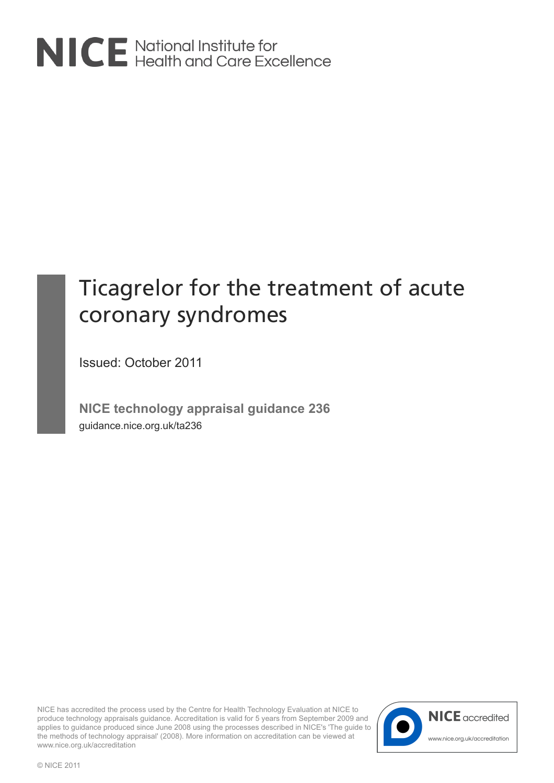

# Ticagrelor for the treatment of acute coronary syndromes

Issued: October 2011

**NICE technology appraisal guidance 236** guidance.nice.org.uk/ta236

NICE has accredited the process used by the Centre for Health Technology Evaluation at NICE to produce technology appraisals guidance. Accreditation is valid for 5 years from September 2009 and applies to guidance produced since June 2008 using the processes described in NICE's 'The guide to the methods of technology appraisal' (2008). More information on accreditation can be viewed at www.nice.org.uk/accreditation

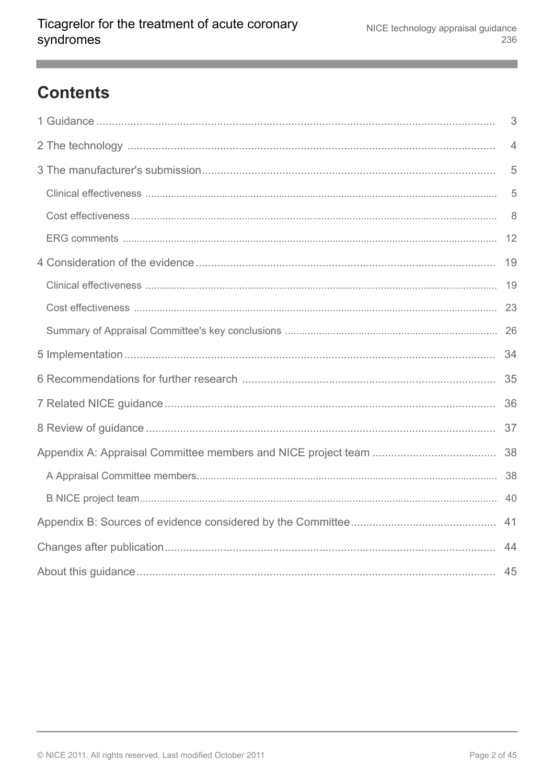# **Contents**

| 3              |
|----------------|
| $\overline{4}$ |
| 5              |
| 5              |
| 8              |
|                |
|                |
|                |
|                |
|                |
|                |
|                |
|                |
|                |
|                |
|                |
|                |
|                |
|                |
| 45             |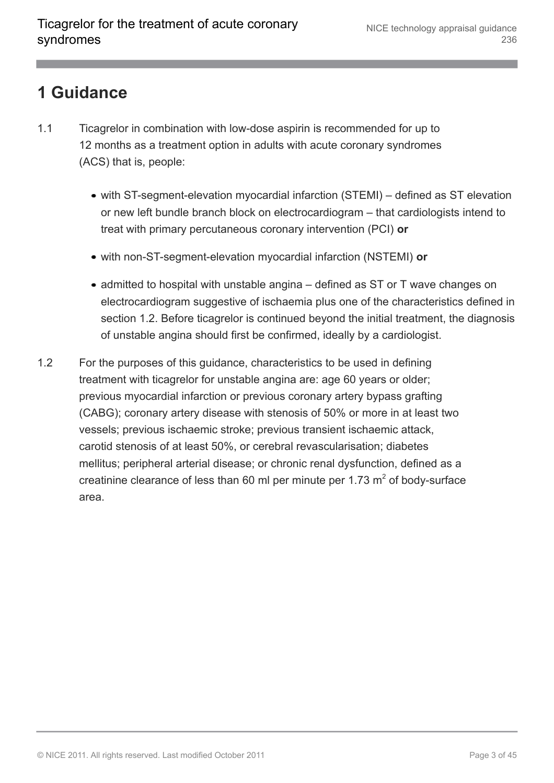#### <span id="page-2-0"></span>**1 Guidance**

- 1.1 Ticagrelor in combination with low-dose aspirin is recommended for up to 12 months as a treatment option in adults with acute coronary syndromes (ACS) that is, people:
	- with ST-segment-elevation myocardial infarction (STEMI) defined as ST elevation or new left bundle branch block on electrocardiogram – that cardiologists intend to treat with primary percutaneous coronary intervention (PCI) **or**
	- with non-ST-segment-elevation myocardial infarction (NSTEMI) **or**
	- admitted to hospital with unstable angina defined as ST or T wave changes on electrocardiogram suggestive of ischaemia plus one of the characteristics defined in section 1.2. Before ticagrelor is continued beyond the initial treatment, the diagnosis of unstable angina should first be confirmed, ideally by a cardiologist.
- 1.2 For the purposes of this guidance, characteristics to be used in defining treatment with ticagrelor for unstable angina are: age 60 years or older; previous myocardial infarction or previous coronary artery bypass grafting (CABG); coronary artery disease with stenosis of 50% or more in at least two vessels; previous ischaemic stroke; previous transient ischaemic attack, carotid stenosis of at least 50%, or cerebral revascularisation; diabetes mellitus; peripheral arterial disease; or chronic renal dysfunction, defined as a creatinine clearance of less than 60 ml per minute per 1.73  $m<sup>2</sup>$  of body-surface area.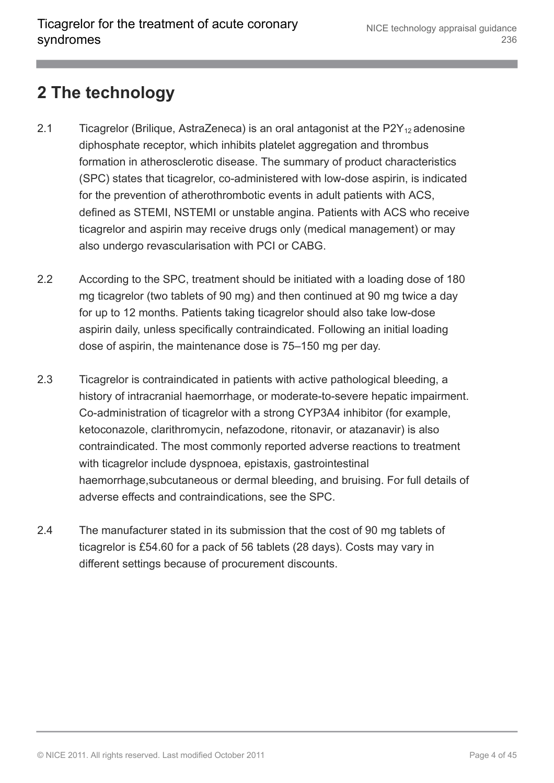#### <span id="page-3-0"></span>**2 The technology**

- 2.1 Ticagrelor (Brilique, AstraZeneca) is an oral antagonist at the  $P2Y_{12}$  adenosine diphosphate receptor, which inhibits platelet aggregation and thrombus formation in atherosclerotic disease. The summary of product characteristics (SPC) states that ticagrelor, co-administered with low-dose aspirin, is indicated for the prevention of atherothrombotic events in adult patients with ACS, defined as STEMI, NSTEMI or unstable angina. Patients with ACS who receive ticagrelor and aspirin may receive drugs only (medical management) or may also undergo revascularisation with PCI or CABG.
- 2.2 According to the SPC, treatment should be initiated with a loading dose of 180 mg ticagrelor (two tablets of 90 mg) and then continued at 90 mg twice a day for up to 12 months. Patients taking ticagrelor should also take low-dose aspirin daily, unless specifically contraindicated. Following an initial loading dose of aspirin, the maintenance dose is 75–150 mg per day.
- 2.3 Ticagrelor is contraindicated in patients with active pathological bleeding, a history of intracranial haemorrhage, or moderate-to-severe hepatic impairment. Co-administration of ticagrelor with a strong CYP3A4 inhibitor (for example, ketoconazole, clarithromycin, nefazodone, ritonavir, or atazanavir) is also contraindicated. The most commonly reported adverse reactions to treatment with ticagrelor include dyspnoea, epistaxis, gastrointestinal haemorrhage,subcutaneous or dermal bleeding, and bruising. For full details of adverse effects and contraindications, see the SPC.
- 2.4 The manufacturer stated in its submission that the cost of 90 mg tablets of ticagrelor is £54.60 for a pack of 56 tablets (28 days). Costs may vary in different settings because of procurement discounts.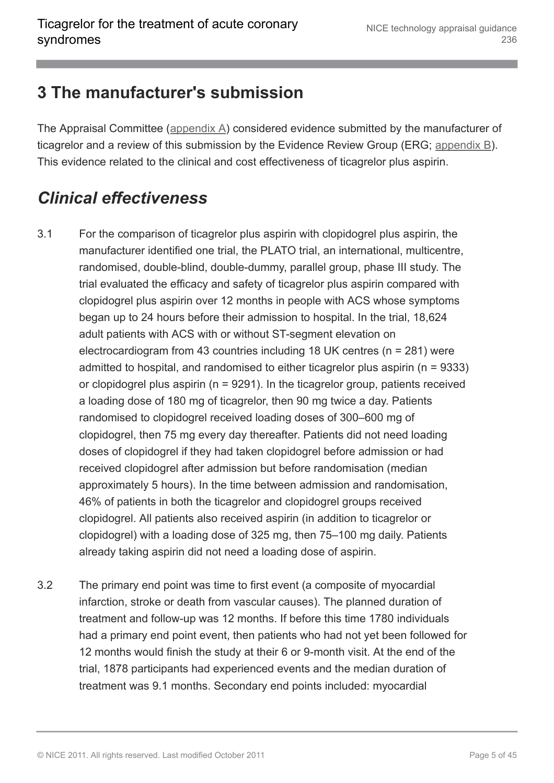#### <span id="page-4-0"></span>**3 The manufacturer's submission**

The Appraisal Committee ([appendix A\)](http://publications.nice.org.uk/ticagrelor-for-the-treatment-of-acute-coronary-syndromes-ta236/appendix-a-appraisal-committee-members-and-nice-project-team) considered evidence submitted by the manufacturer of ticagrelor and a review of this submission by the Evidence Review Group (ERG; [appendix B\)](http://publications.nice.org.uk/ticagrelor-for-the-treatment-of-acute-coronary-syndromes-ta236/appendix-b-sources-of-evidence-considered-by-the-committee). This evidence related to the clinical and cost effectiveness of ticagrelor plus aspirin.

### <span id="page-4-1"></span>*Clinical effectiveness*

- 3.1 For the comparison of ticagrelor plus aspirin with clopidogrel plus aspirin, the manufacturer identified one trial, the PLATO trial, an international, multicentre, randomised, double-blind, double-dummy, parallel group, phase III study. The trial evaluated the efficacy and safety of ticagrelor plus aspirin compared with clopidogrel plus aspirin over 12 months in people with ACS whose symptoms began up to 24 hours before their admission to hospital. In the trial, 18,624 adult patients with ACS with or without ST-segment elevation on electrocardiogram from 43 countries including 18 UK centres (n = 281) were admitted to hospital, and randomised to either ticagrelor plus aspirin (n = 9333) or clopidogrel plus aspirin (n = 9291). In the ticagrelor group, patients received a loading dose of 180 mg of ticagrelor, then 90 mg twice a day. Patients randomised to clopidogrel received loading doses of 300–600 mg of clopidogrel, then 75 mg every day thereafter. Patients did not need loading doses of clopidogrel if they had taken clopidogrel before admission or had received clopidogrel after admission but before randomisation (median approximately 5 hours). In the time between admission and randomisation, 46% of patients in both the ticagrelor and clopidogrel groups received clopidogrel. All patients also received aspirin (in addition to ticagrelor or clopidogrel) with a loading dose of 325 mg, then 75–100 mg daily. Patients already taking aspirin did not need a loading dose of aspirin.
- 3.2 The primary end point was time to first event (a composite of myocardial infarction, stroke or death from vascular causes). The planned duration of treatment and follow-up was 12 months. If before this time 1780 individuals had a primary end point event, then patients who had not yet been followed for 12 months would finish the study at their 6 or 9-month visit. At the end of the trial, 1878 participants had experienced events and the median duration of treatment was 9.1 months. Secondary end points included: myocardial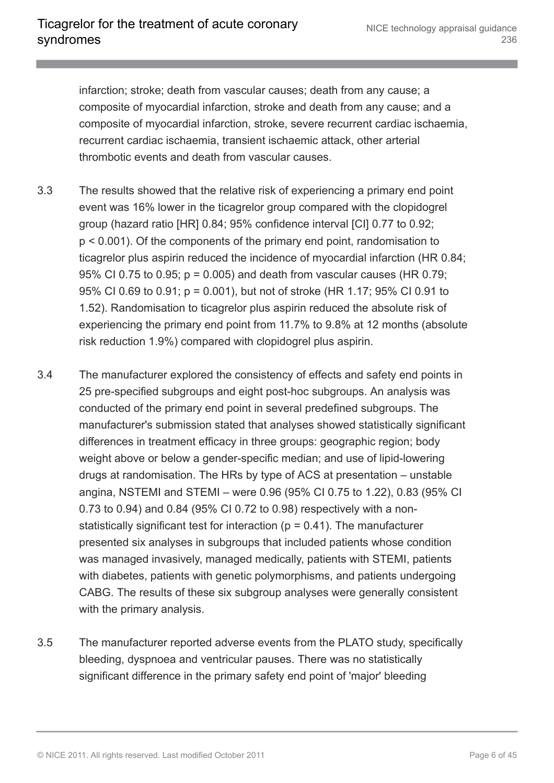infarction; stroke; death from vascular causes; death from any cause; a composite of myocardial infarction, stroke and death from any cause; and a composite of myocardial infarction, stroke, severe recurrent cardiac ischaemia, recurrent cardiac ischaemia, transient ischaemic attack, other arterial thrombotic events and death from vascular causes.

- 3.3 The results showed that the relative risk of experiencing a primary end point event was 16% lower in the ticagrelor group compared with the clopidogrel group (hazard ratio [HR] 0.84; 95% confidence interval [CI] 0.77 to 0.92; p < 0.001). Of the components of the primary end point, randomisation to ticagrelor plus aspirin reduced the incidence of myocardial infarction (HR 0.84; 95% CI 0.75 to 0.95; p = 0.005) and death from vascular causes (HR 0.79; 95% CI 0.69 to 0.91; p = 0.001), but not of stroke (HR 1.17; 95% CI 0.91 to 1.52). Randomisation to ticagrelor plus aspirin reduced the absolute risk of experiencing the primary end point from 11.7% to 9.8% at 12 months (absolute risk reduction 1.9%) compared with clopidogrel plus aspirin.
- 3.4 The manufacturer explored the consistency of effects and safety end points in 25 pre-specified subgroups and eight post-hoc subgroups. An analysis was conducted of the primary end point in several predefined subgroups. The manufacturer's submission stated that analyses showed statistically significant differences in treatment efficacy in three groups: geographic region; body weight above or below a gender-specific median; and use of lipid-lowering drugs at randomisation. The HRs by type of ACS at presentation – unstable angina, NSTEMI and STEMI – were 0.96 (95% CI 0.75 to 1.22), 0.83 (95% CI 0.73 to 0.94) and 0.84 (95% CI 0.72 to 0.98) respectively with a nonstatistically significant test for interaction ( $p = 0.41$ ). The manufacturer presented six analyses in subgroups that included patients whose condition was managed invasively, managed medically, patients with STEMI, patients with diabetes, patients with genetic polymorphisms, and patients undergoing CABG. The results of these six subgroup analyses were generally consistent with the primary analysis.
- 3.5 The manufacturer reported adverse events from the PLATO study, specifically bleeding, dyspnoea and ventricular pauses. There was no statistically significant difference in the primary safety end point of 'major' bleeding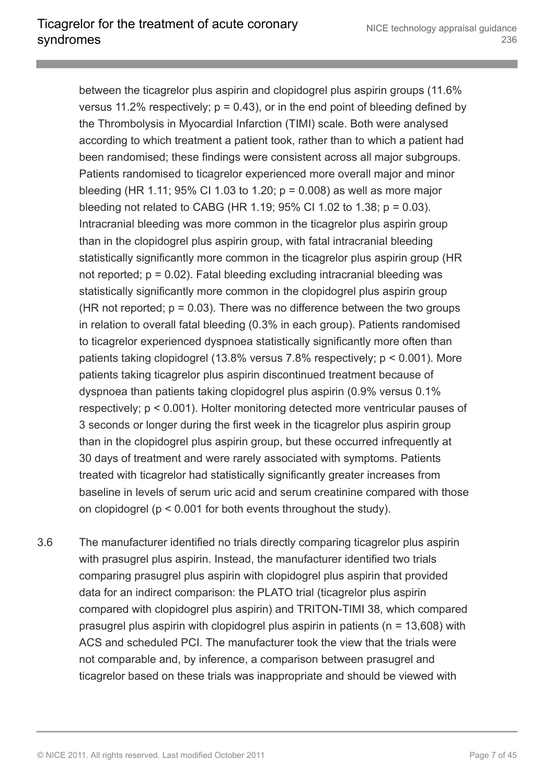between the ticagrelor plus aspirin and clopidogrel plus aspirin groups (11.6% versus 11.2% respectively;  $p = 0.43$ ), or in the end point of bleeding defined by the Thrombolysis in Myocardial Infarction (TIMI) scale. Both were analysed according to which treatment a patient took, rather than to which a patient had been randomised; these findings were consistent across all major subgroups. Patients randomised to ticagrelor experienced more overall major and minor bleeding (HR 1.11; 95% CI 1.03 to 1.20;  $p = 0.008$ ) as well as more major bleeding not related to CABG (HR 1.19; 95% CI 1.02 to 1.38;  $p = 0.03$ ). Intracranial bleeding was more common in the ticagrelor plus aspirin group than in the clopidogrel plus aspirin group, with fatal intracranial bleeding statistically significantly more common in the ticagrelor plus aspirin group (HR not reported;  $p = 0.02$ ). Fatal bleeding excluding intracranial bleeding was statistically significantly more common in the clopidogrel plus aspirin group (HR not reported;  $p = 0.03$ ). There was no difference between the two groups in relation to overall fatal bleeding (0.3% in each group). Patients randomised to ticagrelor experienced dyspnoea statistically significantly more often than patients taking clopidogrel (13.8% versus 7.8% respectively; p < 0.001). More patients taking ticagrelor plus aspirin discontinued treatment because of dyspnoea than patients taking clopidogrel plus aspirin (0.9% versus 0.1% respectively; p < 0.001). Holter monitoring detected more ventricular pauses of 3 seconds or longer during the first week in the ticagrelor plus aspirin group than in the clopidogrel plus aspirin group, but these occurred infrequently at 30 days of treatment and were rarely associated with symptoms. Patients treated with ticagrelor had statistically significantly greater increases from baseline in levels of serum uric acid and serum creatinine compared with those on clopidogrel (p < 0.001 for both events throughout the study).

3.6 The manufacturer identified no trials directly comparing ticagrelor plus aspirin with prasugrel plus aspirin. Instead, the manufacturer identified two trials comparing prasugrel plus aspirin with clopidogrel plus aspirin that provided data for an indirect comparison: the PLATO trial (ticagrelor plus aspirin compared with clopidogrel plus aspirin) and TRITON-TIMI 38, which compared prasugrel plus aspirin with clopidogrel plus aspirin in patients ( $n = 13,608$ ) with ACS and scheduled PCI. The manufacturer took the view that the trials were not comparable and, by inference, a comparison between prasugrel and ticagrelor based on these trials was inappropriate and should be viewed with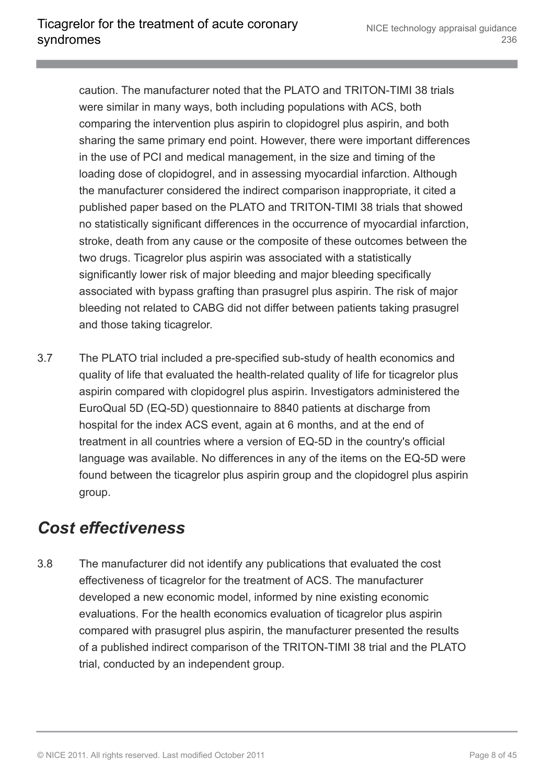caution. The manufacturer noted that the PLATO and TRITON-TIMI 38 trials were similar in many ways, both including populations with ACS, both comparing the intervention plus aspirin to clopidogrel plus aspirin, and both sharing the same primary end point. However, there were important differences in the use of PCI and medical management, in the size and timing of the loading dose of clopidogrel, and in assessing myocardial infarction. Although the manufacturer considered the indirect comparison inappropriate, it cited a published paper based on the PLATO and TRITON-TIMI 38 trials that showed no statistically significant differences in the occurrence of myocardial infarction, stroke, death from any cause or the composite of these outcomes between the two drugs. Ticagrelor plus aspirin was associated with a statistically significantly lower risk of major bleeding and major bleeding specifically associated with bypass grafting than prasugrel plus aspirin. The risk of major bleeding not related to CABG did not differ between patients taking prasugrel and those taking ticagrelor.

3.7 The PLATO trial included a pre-specified sub-study of health economics and quality of life that evaluated the health-related quality of life for ticagrelor plus aspirin compared with clopidogrel plus aspirin. Investigators administered the EuroQual 5D (EQ-5D) questionnaire to 8840 patients at discharge from hospital for the index ACS event, again at 6 months, and at the end of treatment in all countries where a version of EQ-5D in the country's official language was available. No differences in any of the items on the EQ-5D were found between the ticagrelor plus aspirin group and the clopidogrel plus aspirin group.

#### <span id="page-7-0"></span>*Cost effectiveness*

3.8 The manufacturer did not identify any publications that evaluated the cost effectiveness of ticagrelor for the treatment of ACS. The manufacturer developed a new economic model, informed by nine existing economic evaluations. For the health economics evaluation of ticagrelor plus aspirin compared with prasugrel plus aspirin, the manufacturer presented the results of a published indirect comparison of the TRITON-TIMI 38 trial and the PLATO trial, conducted by an independent group.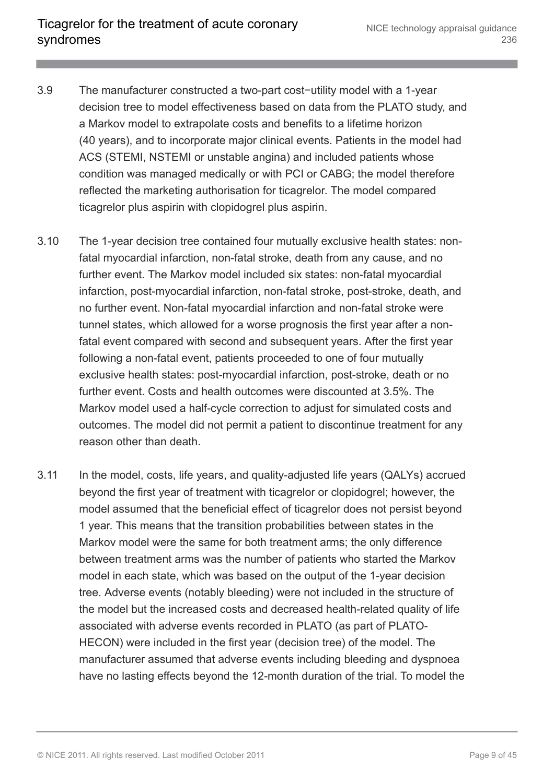- 3.9 The manufacturer constructed a two-part cost−utility model with a 1-year decision tree to model effectiveness based on data from the PLATO study, and a Markov model to extrapolate costs and benefits to a lifetime horizon (40 years), and to incorporate major clinical events. Patients in the model had ACS (STEMI, NSTEMI or unstable angina) and included patients whose condition was managed medically or with PCI or CABG; the model therefore reflected the marketing authorisation for ticagrelor. The model compared ticagrelor plus aspirin with clopidogrel plus aspirin.
- 3.10 The 1-year decision tree contained four mutually exclusive health states: nonfatal myocardial infarction, non-fatal stroke, death from any cause, and no further event. The Markov model included six states: non-fatal myocardial infarction, post-myocardial infarction, non-fatal stroke, post-stroke, death, and no further event. Non-fatal myocardial infarction and non-fatal stroke were tunnel states, which allowed for a worse prognosis the first year after a nonfatal event compared with second and subsequent years. After the first year following a non-fatal event, patients proceeded to one of four mutually exclusive health states: post-myocardial infarction, post-stroke, death or no further event. Costs and health outcomes were discounted at 3.5%. The Markov model used a half-cycle correction to adjust for simulated costs and outcomes. The model did not permit a patient to discontinue treatment for any reason other than death.
- 3.11 In the model, costs, life years, and quality-adjusted life years (QALYs) accrued beyond the first year of treatment with ticagrelor or clopidogrel; however, the model assumed that the beneficial effect of ticagrelor does not persist beyond 1 year. This means that the transition probabilities between states in the Markov model were the same for both treatment arms; the only difference between treatment arms was the number of patients who started the Markov model in each state, which was based on the output of the 1-year decision tree. Adverse events (notably bleeding) were not included in the structure of the model but the increased costs and decreased health-related quality of life associated with adverse events recorded in PLATO (as part of PLATO-HECON) were included in the first year (decision tree) of the model. The manufacturer assumed that adverse events including bleeding and dyspnoea have no lasting effects beyond the 12-month duration of the trial. To model the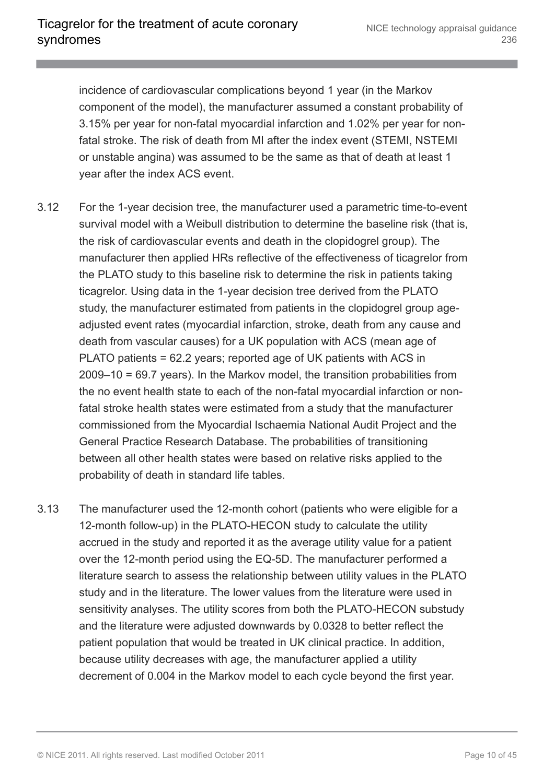incidence of cardiovascular complications beyond 1 year (in the Markov component of the model), the manufacturer assumed a constant probability of 3.15% per year for non-fatal myocardial infarction and 1.02% per year for nonfatal stroke. The risk of death from MI after the index event (STEMI, NSTEMI or unstable angina) was assumed to be the same as that of death at least 1 year after the index ACS event.

- 3.12 For the 1-year decision tree, the manufacturer used a parametric time-to-event survival model with a Weibull distribution to determine the baseline risk (that is, the risk of cardiovascular events and death in the clopidogrel group). The manufacturer then applied HRs reflective of the effectiveness of ticagrelor from the PLATO study to this baseline risk to determine the risk in patients taking ticagrelor. Using data in the 1-year decision tree derived from the PLATO study, the manufacturer estimated from patients in the clopidogrel group ageadjusted event rates (myocardial infarction, stroke, death from any cause and death from vascular causes) for a UK population with ACS (mean age of PLATO patients = 62.2 years; reported age of UK patients with ACS in 2009–10 = 69.7 years). In the Markov model, the transition probabilities from the no event health state to each of the non-fatal myocardial infarction or nonfatal stroke health states were estimated from a study that the manufacturer commissioned from the Myocardial Ischaemia National Audit Project and the General Practice Research Database. The probabilities of transitioning between all other health states were based on relative risks applied to the probability of death in standard life tables.
- 3.13 The manufacturer used the 12-month cohort (patients who were eligible for a 12-month follow-up) in the PLATO-HECON study to calculate the utility accrued in the study and reported it as the average utility value for a patient over the 12-month period using the EQ-5D. The manufacturer performed a literature search to assess the relationship between utility values in the PLATO study and in the literature. The lower values from the literature were used in sensitivity analyses. The utility scores from both the PLATO-HECON substudy and the literature were adjusted downwards by 0.0328 to better reflect the patient population that would be treated in UK clinical practice. In addition, because utility decreases with age, the manufacturer applied a utility decrement of 0.004 in the Markov model to each cycle beyond the first year.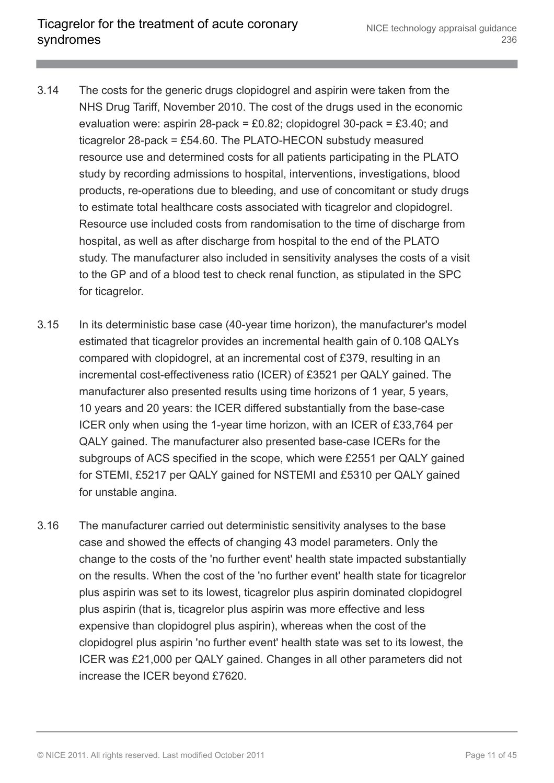- 3.14 The costs for the generic drugs clopidogrel and aspirin were taken from the NHS Drug Tariff, November 2010. The cost of the drugs used in the economic evaluation were: aspirin 28-pack = £0.82; clopidogrel 30-pack = £3.40; and ticagrelor 28-pack = £54.60. The PLATO-HECON substudy measured resource use and determined costs for all patients participating in the PLATO study by recording admissions to hospital, interventions, investigations, blood products, re-operations due to bleeding, and use of concomitant or study drugs to estimate total healthcare costs associated with ticagrelor and clopidogrel. Resource use included costs from randomisation to the time of discharge from hospital, as well as after discharge from hospital to the end of the PLATO study. The manufacturer also included in sensitivity analyses the costs of a visit to the GP and of a blood test to check renal function, as stipulated in the SPC for ticagrelor.
- 3.15 In its deterministic base case (40-year time horizon), the manufacturer's model estimated that ticagrelor provides an incremental health gain of 0.108 QALYs compared with clopidogrel, at an incremental cost of £379, resulting in an incremental cost-effectiveness ratio (ICER) of £3521 per QALY gained. The manufacturer also presented results using time horizons of 1 year, 5 years, 10 years and 20 years: the ICER differed substantially from the base-case ICER only when using the 1-year time horizon, with an ICER of £33,764 per QALY gained. The manufacturer also presented base-case ICERs for the subgroups of ACS specified in the scope, which were £2551 per QALY gained for STEMI, £5217 per QALY gained for NSTEMI and £5310 per QALY gained for unstable angina.
- 3.16 The manufacturer carried out deterministic sensitivity analyses to the base case and showed the effects of changing 43 model parameters. Only the change to the costs of the 'no further event' health state impacted substantially on the results. When the cost of the 'no further event' health state for ticagrelor plus aspirin was set to its lowest, ticagrelor plus aspirin dominated clopidogrel plus aspirin (that is, ticagrelor plus aspirin was more effective and less expensive than clopidogrel plus aspirin), whereas when the cost of the clopidogrel plus aspirin 'no further event' health state was set to its lowest, the ICER was £21,000 per QALY gained. Changes in all other parameters did not increase the ICER beyond £7620.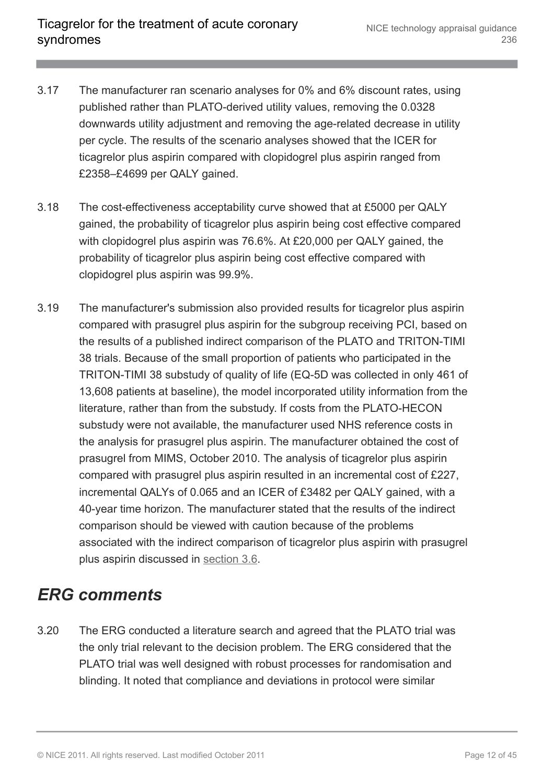- 3.17 The manufacturer ran scenario analyses for 0% and 6% discount rates, using published rather than PLATO-derived utility values, removing the 0.0328 downwards utility adjustment and removing the age-related decrease in utility per cycle. The results of the scenario analyses showed that the ICER for ticagrelor plus aspirin compared with clopidogrel plus aspirin ranged from £2358–£4699 per QALY gained.
- 3.18 The cost-effectiveness acceptability curve showed that at £5000 per QALY gained, the probability of ticagrelor plus aspirin being cost effective compared with clopidogrel plus aspirin was 76.6%. At £20,000 per QALY gained, the probability of ticagrelor plus aspirin being cost effective compared with clopidogrel plus aspirin was 99.9%.
- 3.19 The manufacturer's submission also provided results for ticagrelor plus aspirin compared with prasugrel plus aspirin for the subgroup receiving PCI, based on the results of a published indirect comparison of the PLATO and TRITON-TIMI 38 trials. Because of the small proportion of patients who participated in the TRITON-TIMI 38 substudy of quality of life (EQ-5D was collected in only 461 of 13,608 patients at baseline), the model incorporated utility information from the literature, rather than from the substudy. If costs from the PLATO-HECON substudy were not available, the manufacturer used NHS reference costs in the analysis for prasugrel plus aspirin. The manufacturer obtained the cost of prasugrel from MIMS, October 2010. The analysis of ticagrelor plus aspirin compared with prasugrel plus aspirin resulted in an incremental cost of £227, incremental QALYs of 0.065 and an ICER of £3482 per QALY gained, with a 40-year time horizon. The manufacturer stated that the results of the indirect comparison should be viewed with caution because of the problems associated with the indirect comparison of ticagrelor plus aspirin with prasugrel plus aspirin discussed in [section 3.6](http://publications.nice.org.uk/ticagrelor-for-the-treatment-of-acute-coronary-syndromes-ta236/the-manufacturers-submission#clinical-effectiveness).

#### <span id="page-11-0"></span>*ERG comments*

3.20 The ERG conducted a literature search and agreed that the PLATO trial was the only trial relevant to the decision problem. The ERG considered that the PLATO trial was well designed with robust processes for randomisation and blinding. It noted that compliance and deviations in protocol were similar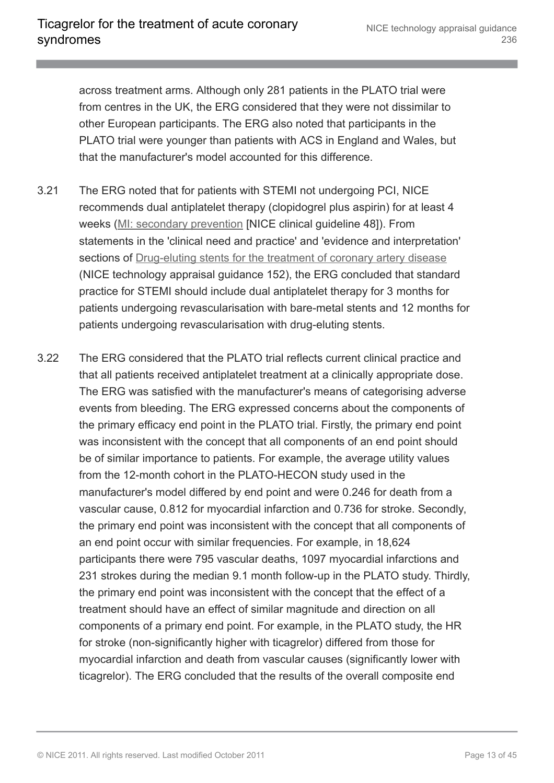across treatment arms. Although only 281 patients in the PLATO trial were from centres in the UK, the ERG considered that they were not dissimilar to other European participants. The ERG also noted that participants in the PLATO trial were younger than patients with ACS in England and Wales, but that the manufacturer's model accounted for this difference.

- 3.21 The ERG noted that for patients with STEMI not undergoing PCI, NICE recommends dual antiplatelet therapy (clopidogrel plus aspirin) for at least 4 weeks [\(MI: secondary prevention](http://www.nice.org.uk/guidance/CG48) [NICE clinical guideline 48]). From statements in the 'clinical need and practice' and 'evidence and interpretation' sections of [Drug-eluting stents for the treatment of coronary artery disease](http://www.nice.org.uk/guidance/ta152) (NICE technology appraisal guidance 152), the ERG concluded that standard practice for STEMI should include dual antiplatelet therapy for 3 months for patients undergoing revascularisation with bare-metal stents and 12 months for patients undergoing revascularisation with drug-eluting stents.
- 3.22 The ERG considered that the PLATO trial reflects current clinical practice and that all patients received antiplatelet treatment at a clinically appropriate dose. The ERG was satisfied with the manufacturer's means of categorising adverse events from bleeding. The ERG expressed concerns about the components of the primary efficacy end point in the PLATO trial. Firstly, the primary end point was inconsistent with the concept that all components of an end point should be of similar importance to patients. For example, the average utility values from the 12-month cohort in the PLATO-HECON study used in the manufacturer's model differed by end point and were 0.246 for death from a vascular cause, 0.812 for myocardial infarction and 0.736 for stroke. Secondly, the primary end point was inconsistent with the concept that all components of an end point occur with similar frequencies. For example, in 18,624 participants there were 795 vascular deaths, 1097 myocardial infarctions and 231 strokes during the median 9.1 month follow-up in the PLATO study. Thirdly, the primary end point was inconsistent with the concept that the effect of a treatment should have an effect of similar magnitude and direction on all components of a primary end point. For example, in the PLATO study, the HR for stroke (non-significantly higher with ticagrelor) differed from those for myocardial infarction and death from vascular causes (significantly lower with ticagrelor). The ERG concluded that the results of the overall composite end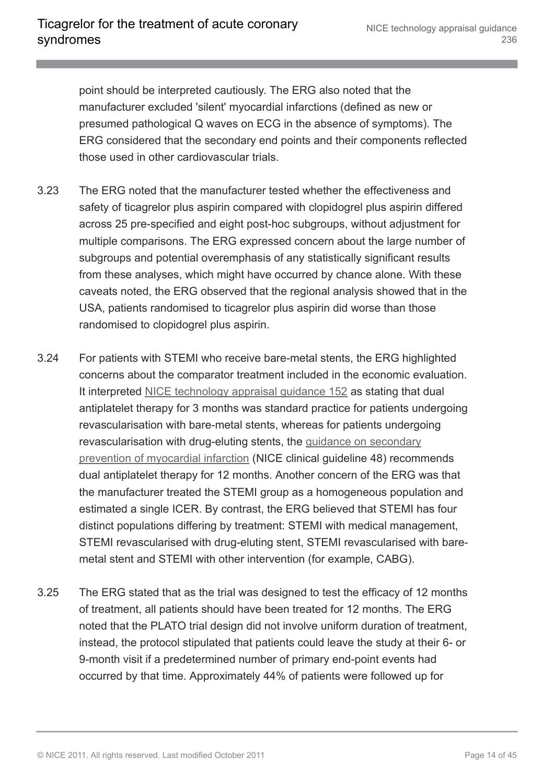point should be interpreted cautiously. The ERG also noted that the manufacturer excluded 'silent' myocardial infarctions (defined as new or presumed pathological Q waves on ECG in the absence of symptoms). The ERG considered that the secondary end points and their components reflected those used in other cardiovascular trials.

- 3.23 The ERG noted that the manufacturer tested whether the effectiveness and safety of ticagrelor plus aspirin compared with clopidogrel plus aspirin differed across 25 pre-specified and eight post-hoc subgroups, without adjustment for multiple comparisons. The ERG expressed concern about the large number of subgroups and potential overemphasis of any statistically significant results from these analyses, which might have occurred by chance alone. With these caveats noted, the ERG observed that the regional analysis showed that in the USA, patients randomised to ticagrelor plus aspirin did worse than those randomised to clopidogrel plus aspirin.
- 3.24 For patients with STEMI who receive bare-metal stents, the ERG highlighted concerns about the comparator treatment included in the economic evaluation. It interpreted [NICE technology appraisal guidance 152](http://www.nice.org.uk/guidance/ta152) as stating that dual antiplatelet therapy for 3 months was standard practice for patients undergoing revascularisation with bare-metal stents, whereas for patients undergoing revascularisation with drug-eluting stents, the [guidance on secondary](http://www.nice.org.uk/guidance/cg48) [prevention of myocardial infarction](http://www.nice.org.uk/guidance/cg48) (NICE clinical guideline 48) recommends dual antiplatelet therapy for 12 months. Another concern of the ERG was that the manufacturer treated the STEMI group as a homogeneous population and estimated a single ICER. By contrast, the ERG believed that STEMI has four distinct populations differing by treatment: STEMI with medical management, STEMI revascularised with drug-eluting stent, STEMI revascularised with baremetal stent and STEMI with other intervention (for example, CABG).
- 3.25 The ERG stated that as the trial was designed to test the efficacy of 12 months of treatment, all patients should have been treated for 12 months. The ERG noted that the PLATO trial design did not involve uniform duration of treatment, instead, the protocol stipulated that patients could leave the study at their 6- or 9-month visit if a predetermined number of primary end-point events had occurred by that time. Approximately 44% of patients were followed up for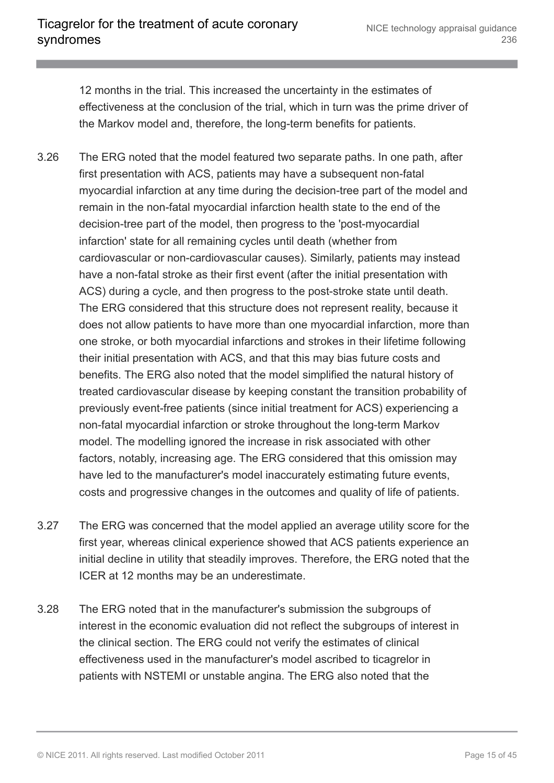12 months in the trial. This increased the uncertainty in the estimates of effectiveness at the conclusion of the trial, which in turn was the prime driver of the Markov model and, therefore, the long-term benefits for patients.

- 3.26 The ERG noted that the model featured two separate paths. In one path, after first presentation with ACS, patients may have a subsequent non-fatal myocardial infarction at any time during the decision-tree part of the model and remain in the non-fatal myocardial infarction health state to the end of the decision-tree part of the model, then progress to the 'post-myocardial infarction' state for all remaining cycles until death (whether from cardiovascular or non-cardiovascular causes). Similarly, patients may instead have a non-fatal stroke as their first event (after the initial presentation with ACS) during a cycle, and then progress to the post-stroke state until death. The ERG considered that this structure does not represent reality, because it does not allow patients to have more than one myocardial infarction, more than one stroke, or both myocardial infarctions and strokes in their lifetime following their initial presentation with ACS, and that this may bias future costs and benefits. The ERG also noted that the model simplified the natural history of treated cardiovascular disease by keeping constant the transition probability of previously event-free patients (since initial treatment for ACS) experiencing a non-fatal myocardial infarction or stroke throughout the long-term Markov model. The modelling ignored the increase in risk associated with other factors, notably, increasing age. The ERG considered that this omission may have led to the manufacturer's model inaccurately estimating future events, costs and progressive changes in the outcomes and quality of life of patients.
- 3.27 The ERG was concerned that the model applied an average utility score for the first year, whereas clinical experience showed that ACS patients experience an initial decline in utility that steadily improves. Therefore, the ERG noted that the ICER at 12 months may be an underestimate.
- 3.28 The ERG noted that in the manufacturer's submission the subgroups of interest in the economic evaluation did not reflect the subgroups of interest in the clinical section. The ERG could not verify the estimates of clinical effectiveness used in the manufacturer's model ascribed to ticagrelor in patients with NSTEMI or unstable angina. The ERG also noted that the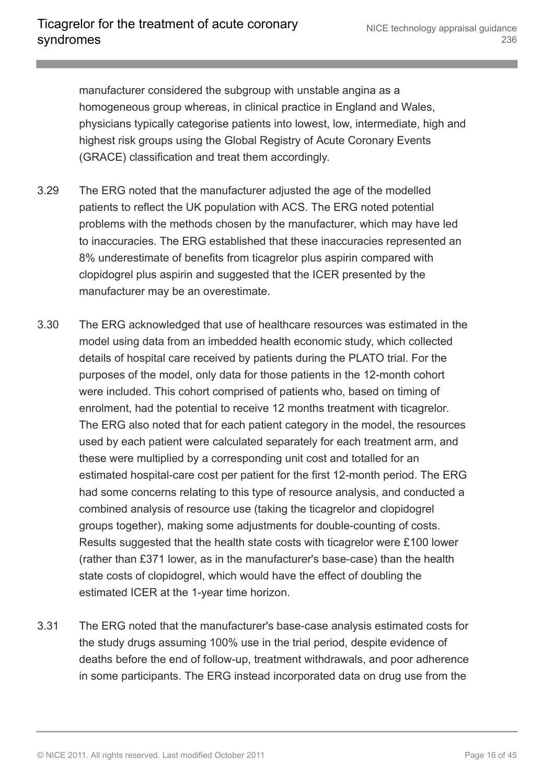manufacturer considered the subgroup with unstable angina as a homogeneous group whereas, in clinical practice in England and Wales, physicians typically categorise patients into lowest, low, intermediate, high and highest risk groups using the Global Registry of Acute Coronary Events (GRACE) classification and treat them accordingly.

- 3.29 The ERG noted that the manufacturer adjusted the age of the modelled patients to reflect the UK population with ACS. The ERG noted potential problems with the methods chosen by the manufacturer, which may have led to inaccuracies. The ERG established that these inaccuracies represented an 8% underestimate of benefits from ticagrelor plus aspirin compared with clopidogrel plus aspirin and suggested that the ICER presented by the manufacturer may be an overestimate.
- 3.30 The ERG acknowledged that use of healthcare resources was estimated in the model using data from an imbedded health economic study, which collected details of hospital care received by patients during the PLATO trial. For the purposes of the model, only data for those patients in the 12-month cohort were included. This cohort comprised of patients who, based on timing of enrolment, had the potential to receive 12 months treatment with ticagrelor. The ERG also noted that for each patient category in the model, the resources used by each patient were calculated separately for each treatment arm, and these were multiplied by a corresponding unit cost and totalled for an estimated hospital-care cost per patient for the first 12-month period. The ERG had some concerns relating to this type of resource analysis, and conducted a combined analysis of resource use (taking the ticagrelor and clopidogrel groups together), making some adjustments for double-counting of costs. Results suggested that the health state costs with ticagrelor were £100 lower (rather than £371 lower, as in the manufacturer's base-case) than the health state costs of clopidogrel, which would have the effect of doubling the estimated ICER at the 1-year time horizon.
- 3.31 The ERG noted that the manufacturer's base-case analysis estimated costs for the study drugs assuming 100% use in the trial period, despite evidence of deaths before the end of follow-up, treatment withdrawals, and poor adherence in some participants. The ERG instead incorporated data on drug use from the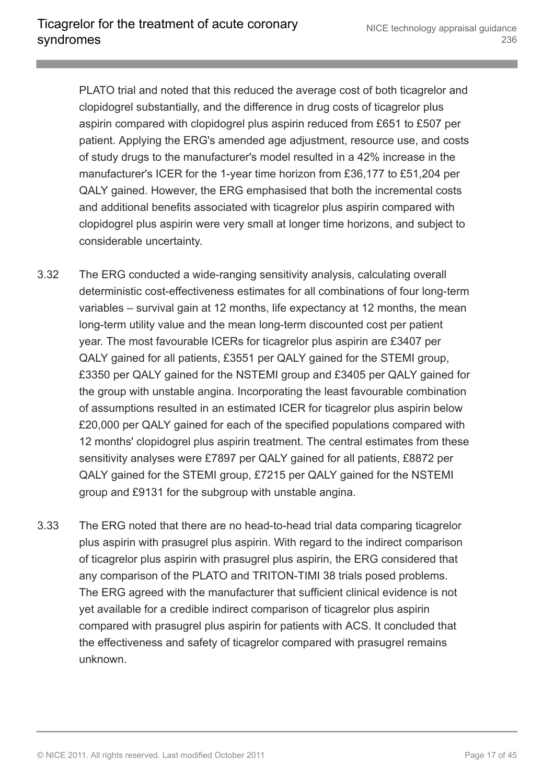PLATO trial and noted that this reduced the average cost of both ticagrelor and clopidogrel substantially, and the difference in drug costs of ticagrelor plus aspirin compared with clopidogrel plus aspirin reduced from £651 to £507 per patient. Applying the ERG's amended age adjustment, resource use, and costs of study drugs to the manufacturer's model resulted in a 42% increase in the manufacturer's ICER for the 1-year time horizon from £36,177 to £51,204 per QALY gained. However, the ERG emphasised that both the incremental costs and additional benefits associated with ticagrelor plus aspirin compared with clopidogrel plus aspirin were very small at longer time horizons, and subject to considerable uncertainty.

- 3.32 The ERG conducted a wide-ranging sensitivity analysis, calculating overall deterministic cost-effectiveness estimates for all combinations of four long-term variables – survival gain at 12 months, life expectancy at 12 months, the mean long-term utility value and the mean long-term discounted cost per patient year. The most favourable ICERs for ticagrelor plus aspirin are £3407 per QALY gained for all patients, £3551 per QALY gained for the STEMI group, £3350 per QALY gained for the NSTEMI group and £3405 per QALY gained for the group with unstable angina. Incorporating the least favourable combination of assumptions resulted in an estimated ICER for ticagrelor plus aspirin below £20,000 per QALY gained for each of the specified populations compared with 12 months' clopidogrel plus aspirin treatment. The central estimates from these sensitivity analyses were £7897 per QALY gained for all patients, £8872 per QALY gained for the STEMI group, £7215 per QALY gained for the NSTEMI group and £9131 for the subgroup with unstable angina.
- 3.33 The ERG noted that there are no head-to-head trial data comparing ticagrelor plus aspirin with prasugrel plus aspirin. With regard to the indirect comparison of ticagrelor plus aspirin with prasugrel plus aspirin, the ERG considered that any comparison of the PLATO and TRITON-TIMI 38 trials posed problems. The ERG agreed with the manufacturer that sufficient clinical evidence is not yet available for a credible indirect comparison of ticagrelor plus aspirin compared with prasugrel plus aspirin for patients with ACS. It concluded that the effectiveness and safety of ticagrelor compared with prasugrel remains unknown.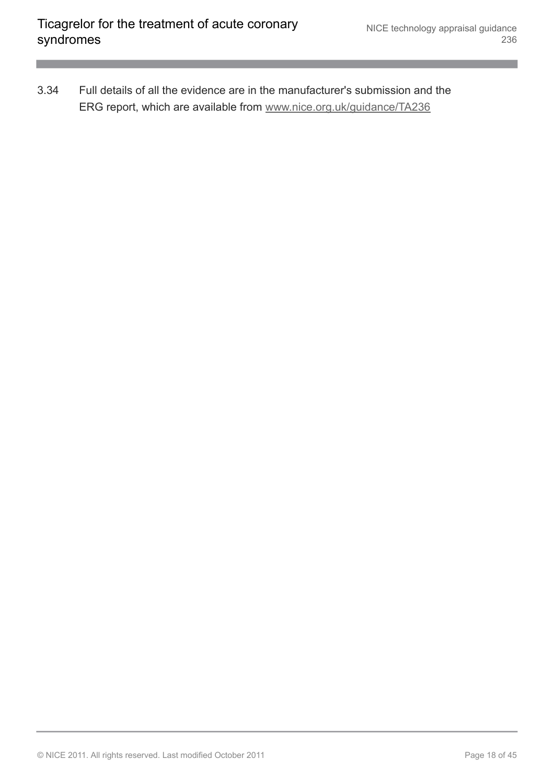3.34 Full details of all the evidence are in the manufacturer's submission and the ERG report, which are available from [www.nice.org.uk/guidance/TA236](http://www.nice.org.uk/guidance/TA236)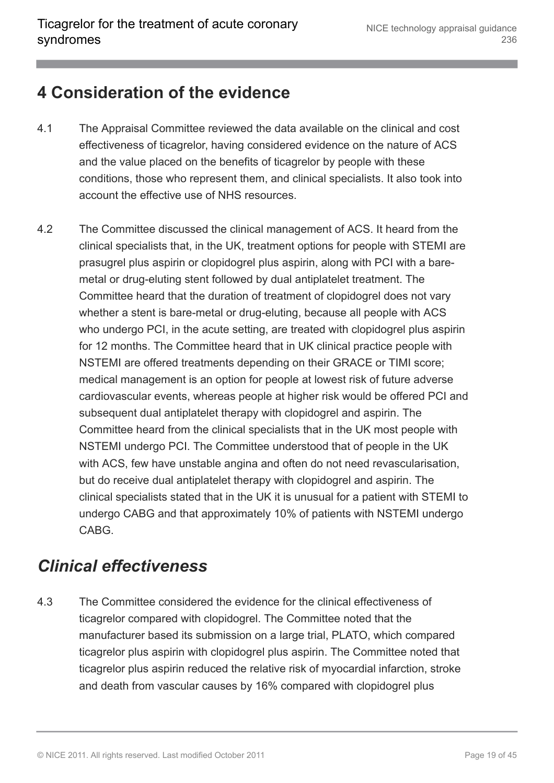#### <span id="page-18-0"></span>**4 Consideration of the evidence**

- 4.1 The Appraisal Committee reviewed the data available on the clinical and cost effectiveness of ticagrelor, having considered evidence on the nature of ACS and the value placed on the benefits of ticagrelor by people with these conditions, those who represent them, and clinical specialists. It also took into account the effective use of NHS resources.
- 4.2 The Committee discussed the clinical management of ACS. It heard from the clinical specialists that, in the UK, treatment options for people with STEMI are prasugrel plus aspirin or clopidogrel plus aspirin, along with PCI with a baremetal or drug-eluting stent followed by dual antiplatelet treatment. The Committee heard that the duration of treatment of clopidogrel does not vary whether a stent is bare-metal or drug-eluting, because all people with ACS who undergo PCI, in the acute setting, are treated with clopidogrel plus aspirin for 12 months. The Committee heard that in UK clinical practice people with NSTEMI are offered treatments depending on their GRACE or TIMI score; medical management is an option for people at lowest risk of future adverse cardiovascular events, whereas people at higher risk would be offered PCI and subsequent dual antiplatelet therapy with clopidogrel and aspirin. The Committee heard from the clinical specialists that in the UK most people with NSTEMI undergo PCI. The Committee understood that of people in the UK with ACS, few have unstable angina and often do not need revascularisation, but do receive dual antiplatelet therapy with clopidogrel and aspirin. The clinical specialists stated that in the UK it is unusual for a patient with STEMI to undergo CABG and that approximately 10% of patients with NSTEMI undergo CABG.

### <span id="page-18-1"></span>*Clinical effectiveness*

4.3 The Committee considered the evidence for the clinical effectiveness of ticagrelor compared with clopidogrel. The Committee noted that the manufacturer based its submission on a large trial, PLATO, which compared ticagrelor plus aspirin with clopidogrel plus aspirin. The Committee noted that ticagrelor plus aspirin reduced the relative risk of myocardial infarction, stroke and death from vascular causes by 16% compared with clopidogrel plus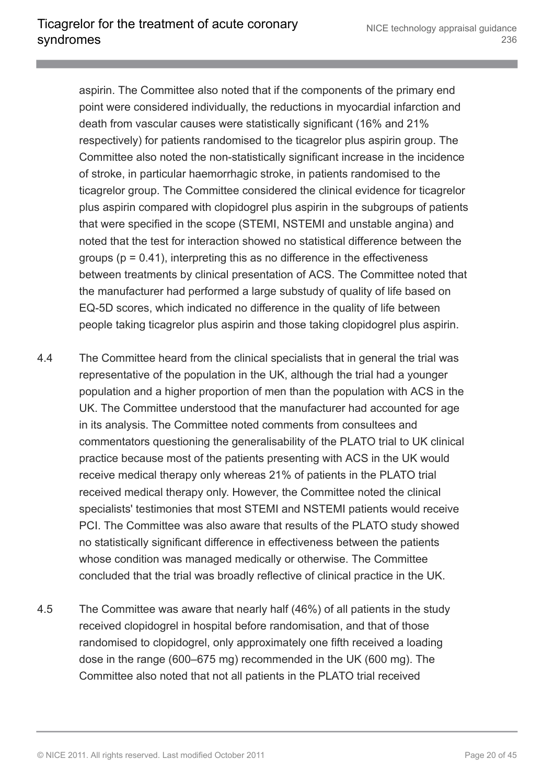aspirin. The Committee also noted that if the components of the primary end point were considered individually, the reductions in myocardial infarction and death from vascular causes were statistically significant (16% and 21% respectively) for patients randomised to the ticagrelor plus aspirin group. The Committee also noted the non-statistically significant increase in the incidence of stroke, in particular haemorrhagic stroke, in patients randomised to the ticagrelor group. The Committee considered the clinical evidence for ticagrelor plus aspirin compared with clopidogrel plus aspirin in the subgroups of patients that were specified in the scope (STEMI, NSTEMI and unstable angina) and noted that the test for interaction showed no statistical difference between the groups ( $p = 0.41$ ), interpreting this as no difference in the effectiveness between treatments by clinical presentation of ACS. The Committee noted that the manufacturer had performed a large substudy of quality of life based on EQ-5D scores, which indicated no difference in the quality of life between people taking ticagrelor plus aspirin and those taking clopidogrel plus aspirin.

- 4.4 The Committee heard from the clinical specialists that in general the trial was representative of the population in the UK, although the trial had a younger population and a higher proportion of men than the population with ACS in the UK. The Committee understood that the manufacturer had accounted for age in its analysis. The Committee noted comments from consultees and commentators questioning the generalisability of the PLATO trial to UK clinical practice because most of the patients presenting with ACS in the UK would receive medical therapy only whereas 21% of patients in the PLATO trial received medical therapy only. However, the Committee noted the clinical specialists' testimonies that most STEMI and NSTEMI patients would receive PCI. The Committee was also aware that results of the PLATO study showed no statistically significant difference in effectiveness between the patients whose condition was managed medically or otherwise. The Committee concluded that the trial was broadly reflective of clinical practice in the UK.
- 4.5 The Committee was aware that nearly half (46%) of all patients in the study received clopidogrel in hospital before randomisation, and that of those randomised to clopidogrel, only approximately one fifth received a loading dose in the range (600–675 mg) recommended in the UK (600 mg). The Committee also noted that not all patients in the PLATO trial received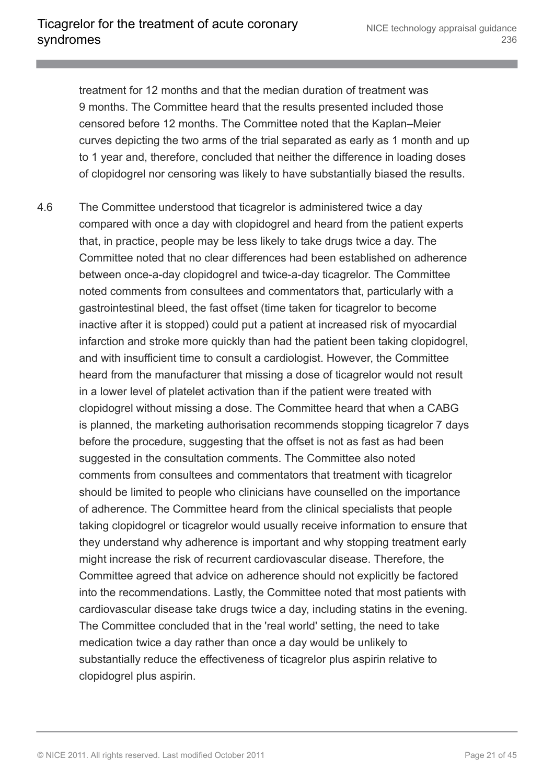treatment for 12 months and that the median duration of treatment was 9 months. The Committee heard that the results presented included those censored before 12 months. The Committee noted that the Kaplan–Meier curves depicting the two arms of the trial separated as early as 1 month and up to 1 year and, therefore, concluded that neither the difference in loading doses of clopidogrel nor censoring was likely to have substantially biased the results.

4.6 The Committee understood that ticagrelor is administered twice a day compared with once a day with clopidogrel and heard from the patient experts that, in practice, people may be less likely to take drugs twice a day. The Committee noted that no clear differences had been established on adherence between once-a-day clopidogrel and twice-a-day ticagrelor. The Committee noted comments from consultees and commentators that, particularly with a gastrointestinal bleed, the fast offset (time taken for ticagrelor to become inactive after it is stopped) could put a patient at increased risk of myocardial infarction and stroke more quickly than had the patient been taking clopidogrel, and with insufficient time to consult a cardiologist. However, the Committee heard from the manufacturer that missing a dose of ticagrelor would not result in a lower level of platelet activation than if the patient were treated with clopidogrel without missing a dose. The Committee heard that when a CABG is planned, the marketing authorisation recommends stopping ticagrelor 7 days before the procedure, suggesting that the offset is not as fast as had been suggested in the consultation comments. The Committee also noted comments from consultees and commentators that treatment with ticagrelor should be limited to people who clinicians have counselled on the importance of adherence. The Committee heard from the clinical specialists that people taking clopidogrel or ticagrelor would usually receive information to ensure that they understand why adherence is important and why stopping treatment early might increase the risk of recurrent cardiovascular disease. Therefore, the Committee agreed that advice on adherence should not explicitly be factored into the recommendations. Lastly, the Committee noted that most patients with cardiovascular disease take drugs twice a day, including statins in the evening. The Committee concluded that in the 'real world' setting, the need to take medication twice a day rather than once a day would be unlikely to substantially reduce the effectiveness of ticagrelor plus aspirin relative to clopidogrel plus aspirin.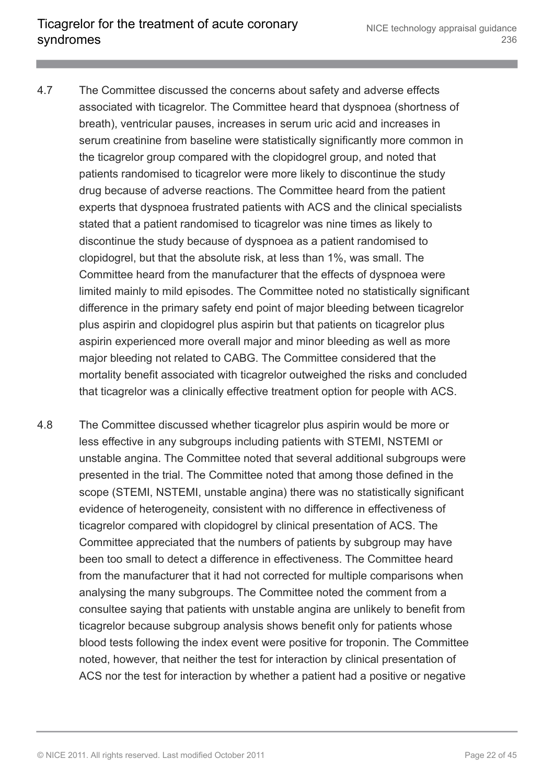- 4.7 The Committee discussed the concerns about safety and adverse effects associated with ticagrelor. The Committee heard that dyspnoea (shortness of breath), ventricular pauses, increases in serum uric acid and increases in serum creatinine from baseline were statistically significantly more common in the ticagrelor group compared with the clopidogrel group, and noted that patients randomised to ticagrelor were more likely to discontinue the study drug because of adverse reactions. The Committee heard from the patient experts that dyspnoea frustrated patients with ACS and the clinical specialists stated that a patient randomised to ticagrelor was nine times as likely to discontinue the study because of dyspnoea as a patient randomised to clopidogrel, but that the absolute risk, at less than 1%, was small. The Committee heard from the manufacturer that the effects of dyspnoea were limited mainly to mild episodes. The Committee noted no statistically significant difference in the primary safety end point of major bleeding between ticagrelor plus aspirin and clopidogrel plus aspirin but that patients on ticagrelor plus aspirin experienced more overall major and minor bleeding as well as more major bleeding not related to CABG. The Committee considered that the mortality benefit associated with ticagrelor outweighed the risks and concluded that ticagrelor was a clinically effective treatment option for people with ACS.
- 4.8 The Committee discussed whether ticagrelor plus aspirin would be more or less effective in any subgroups including patients with STEMI, NSTEMI or unstable angina. The Committee noted that several additional subgroups were presented in the trial. The Committee noted that among those defined in the scope (STEMI, NSTEMI, unstable angina) there was no statistically significant evidence of heterogeneity, consistent with no difference in effectiveness of ticagrelor compared with clopidogrel by clinical presentation of ACS. The Committee appreciated that the numbers of patients by subgroup may have been too small to detect a difference in effectiveness. The Committee heard from the manufacturer that it had not corrected for multiple comparisons when analysing the many subgroups. The Committee noted the comment from a consultee saying that patients with unstable angina are unlikely to benefit from ticagrelor because subgroup analysis shows benefit only for patients whose blood tests following the index event were positive for troponin. The Committee noted, however, that neither the test for interaction by clinical presentation of ACS nor the test for interaction by whether a patient had a positive or negative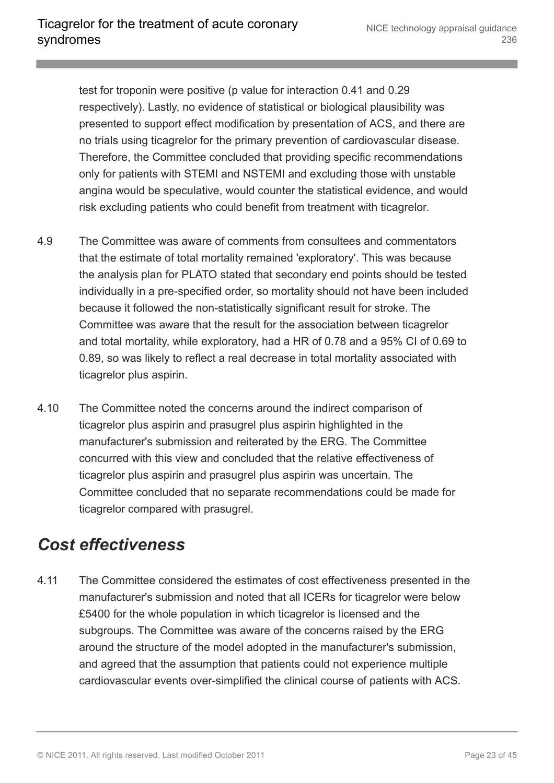test for troponin were positive (p value for interaction 0.41 and 0.29 respectively). Lastly, no evidence of statistical or biological plausibility was presented to support effect modification by presentation of ACS, and there are no trials using ticagrelor for the primary prevention of cardiovascular disease. Therefore, the Committee concluded that providing specific recommendations only for patients with STEMI and NSTEMI and excluding those with unstable angina would be speculative, would counter the statistical evidence, and would risk excluding patients who could benefit from treatment with ticagrelor.

- 4.9 The Committee was aware of comments from consultees and commentators that the estimate of total mortality remained 'exploratory'. This was because the analysis plan for PLATO stated that secondary end points should be tested individually in a pre-specified order, so mortality should not have been included because it followed the non-statistically significant result for stroke. The Committee was aware that the result for the association between ticagrelor and total mortality, while exploratory, had a HR of 0.78 and a 95% CI of 0.69 to 0.89, so was likely to reflect a real decrease in total mortality associated with ticagrelor plus aspirin.
- 4.10 The Committee noted the concerns around the indirect comparison of ticagrelor plus aspirin and prasugrel plus aspirin highlighted in the manufacturer's submission and reiterated by the ERG. The Committee concurred with this view and concluded that the relative effectiveness of ticagrelor plus aspirin and prasugrel plus aspirin was uncertain. The Committee concluded that no separate recommendations could be made for ticagrelor compared with prasugrel.

#### <span id="page-22-0"></span>*Cost effectiveness*

4.11 The Committee considered the estimates of cost effectiveness presented in the manufacturer's submission and noted that all ICERs for ticagrelor were below £5400 for the whole population in which ticagrelor is licensed and the subgroups. The Committee was aware of the concerns raised by the ERG around the structure of the model adopted in the manufacturer's submission, and agreed that the assumption that patients could not experience multiple cardiovascular events over-simplified the clinical course of patients with ACS.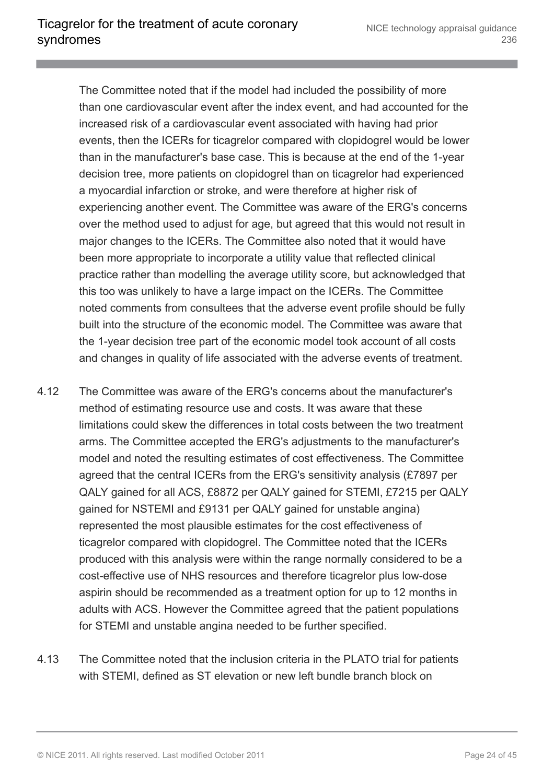The Committee noted that if the model had included the possibility of more than one cardiovascular event after the index event, and had accounted for the increased risk of a cardiovascular event associated with having had prior events, then the ICERs for ticagrelor compared with clopidogrel would be lower than in the manufacturer's base case. This is because at the end of the 1-year decision tree, more patients on clopidogrel than on ticagrelor had experienced a myocardial infarction or stroke, and were therefore at higher risk of experiencing another event. The Committee was aware of the ERG's concerns over the method used to adjust for age, but agreed that this would not result in major changes to the ICERs. The Committee also noted that it would have been more appropriate to incorporate a utility value that reflected clinical practice rather than modelling the average utility score, but acknowledged that this too was unlikely to have a large impact on the ICERs. The Committee noted comments from consultees that the adverse event profile should be fully built into the structure of the economic model. The Committee was aware that the 1-year decision tree part of the economic model took account of all costs and changes in quality of life associated with the adverse events of treatment.

- 4.12 The Committee was aware of the ERG's concerns about the manufacturer's method of estimating resource use and costs. It was aware that these limitations could skew the differences in total costs between the two treatment arms. The Committee accepted the ERG's adjustments to the manufacturer's model and noted the resulting estimates of cost effectiveness. The Committee agreed that the central ICERs from the ERG's sensitivity analysis (£7897 per QALY gained for all ACS, £8872 per QALY gained for STEMI, £7215 per QALY gained for NSTEMI and £9131 per QALY gained for unstable angina) represented the most plausible estimates for the cost effectiveness of ticagrelor compared with clopidogrel. The Committee noted that the ICERs produced with this analysis were within the range normally considered to be a cost-effective use of NHS resources and therefore ticagrelor plus low-dose aspirin should be recommended as a treatment option for up to 12 months in adults with ACS. However the Committee agreed that the patient populations for STEMI and unstable angina needed to be further specified.
- 4.13 The Committee noted that the inclusion criteria in the PLATO trial for patients with STEMI, defined as ST elevation or new left bundle branch block on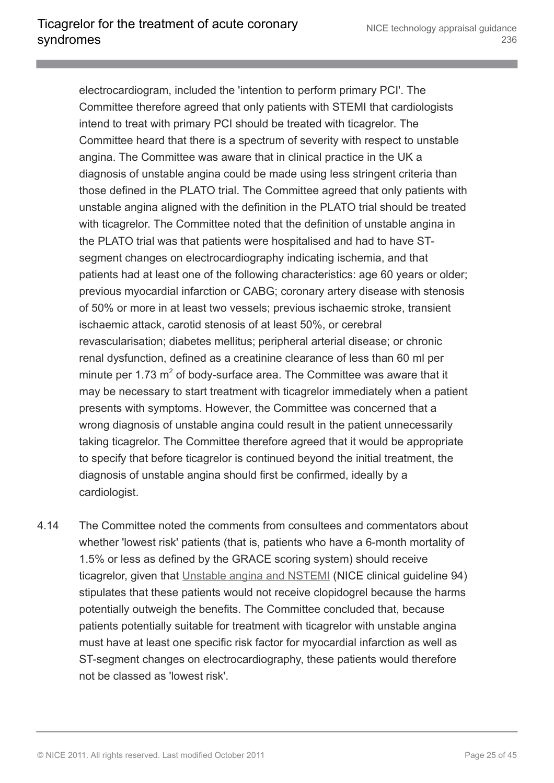electrocardiogram, included the 'intention to perform primary PCI'. The Committee therefore agreed that only patients with STEMI that cardiologists intend to treat with primary PCI should be treated with ticagrelor. The Committee heard that there is a spectrum of severity with respect to unstable angina. The Committee was aware that in clinical practice in the UK a diagnosis of unstable angina could be made using less stringent criteria than those defined in the PLATO trial. The Committee agreed that only patients with unstable angina aligned with the definition in the PLATO trial should be treated with ticagrelor. The Committee noted that the definition of unstable angina in the PLATO trial was that patients were hospitalised and had to have STsegment changes on electrocardiography indicating ischemia, and that patients had at least one of the following characteristics: age 60 years or older; previous myocardial infarction or CABG; coronary artery disease with stenosis of 50% or more in at least two vessels; previous ischaemic stroke, transient ischaemic attack, carotid stenosis of at least 50%, or cerebral revascularisation; diabetes mellitus; peripheral arterial disease; or chronic renal dysfunction, defined as a creatinine clearance of less than 60 ml per minute per 1.73  $m^2$  of body-surface area. The Committee was aware that it may be necessary to start treatment with ticagrelor immediately when a patient presents with symptoms. However, the Committee was concerned that a wrong diagnosis of unstable angina could result in the patient unnecessarily taking ticagrelor. The Committee therefore agreed that it would be appropriate to specify that before ticagrelor is continued beyond the initial treatment, the diagnosis of unstable angina should first be confirmed, ideally by a cardiologist.

4.14 The Committee noted the comments from consultees and commentators about whether 'lowest risk' patients (that is, patients who have a 6-month mortality of 1.5% or less as defined by the GRACE scoring system) should receive ticagrelor, given that [Unstable angina and NSTEMI](http://www.nice.org.uk/guidance/cg94) (NICE clinical guideline 94) stipulates that these patients would not receive clopidogrel because the harms potentially outweigh the benefits. The Committee concluded that, because patients potentially suitable for treatment with ticagrelor with unstable angina must have at least one specific risk factor for myocardial infarction as well as ST-segment changes on electrocardiography, these patients would therefore not be classed as 'lowest risk'.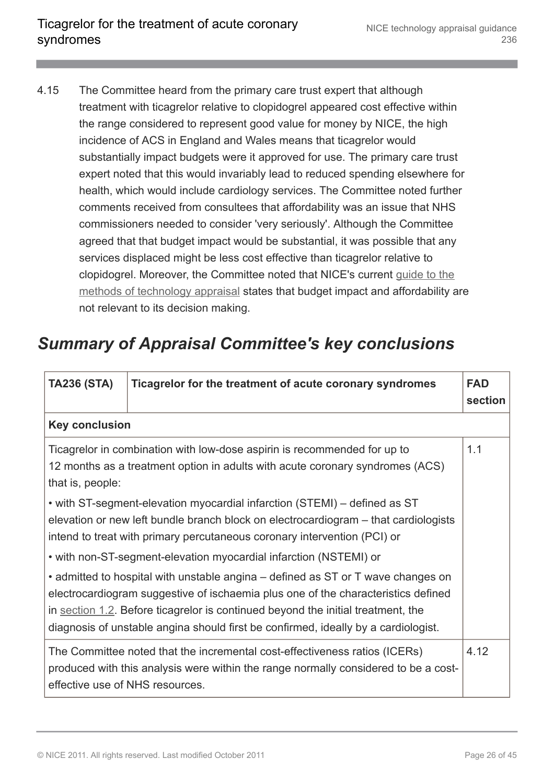4.15 The Committee heard from the primary care trust expert that although treatment with ticagrelor relative to clopidogrel appeared cost effective within the range considered to represent good value for money by NICE, the high incidence of ACS in England and Wales means that ticagrelor would substantially impact budgets were it approved for use. The primary care trust expert noted that this would invariably lead to reduced spending elsewhere for health, which would include cardiology services. The Committee noted further comments received from consultees that affordability was an issue that NHS commissioners needed to consider 'very seriously'. Although the Committee agreed that that budget impact would be substantial, it was possible that any services displaced might be less cost effective than ticagrelor relative to clopidogrel. Moreover, the Committee noted that NICE's current [guide to the](http://www.nice.org.uk/aboutnice/howwework/devnicetech/technologyappraisalprocessguides/guidetothemethodsoftechnologyappraisal.jsp) [methods of technology appraisal](http://www.nice.org.uk/aboutnice/howwework/devnicetech/technologyappraisalprocessguides/guidetothemethodsoftechnologyappraisal.jsp) states that budget impact and affordability are not relevant to its decision making.

### <span id="page-25-0"></span>*Summary of Appraisal Committee's key conclusions*

| <b>TA236 (STA)</b>                                                                                                                                                                                                                           | Ticagrelor for the treatment of acute coronary syndromes                                                                                                                                                                                                                                                                                        | <b>FAD</b><br>section |
|----------------------------------------------------------------------------------------------------------------------------------------------------------------------------------------------------------------------------------------------|-------------------------------------------------------------------------------------------------------------------------------------------------------------------------------------------------------------------------------------------------------------------------------------------------------------------------------------------------|-----------------------|
| <b>Key conclusion</b>                                                                                                                                                                                                                        |                                                                                                                                                                                                                                                                                                                                                 |                       |
| that is, people:                                                                                                                                                                                                                             | Ticagrelor in combination with low-dose aspirin is recommended for up to<br>12 months as a treatment option in adults with acute coronary syndromes (ACS)                                                                                                                                                                                       | 1.1                   |
| • with ST-segment-elevation myocardial infarction (STEMI) – defined as ST<br>elevation or new left bundle branch block on electrocardiogram – that cardiologists<br>intend to treat with primary percutaneous coronary intervention (PCI) or |                                                                                                                                                                                                                                                                                                                                                 |                       |
| • with non-ST-segment-elevation myocardial infarction (NSTEMI) or                                                                                                                                                                            |                                                                                                                                                                                                                                                                                                                                                 |                       |
|                                                                                                                                                                                                                                              | • admitted to hospital with unstable angina – defined as ST or T wave changes on<br>electrocardiogram suggestive of ischaemia plus one of the characteristics defined<br>in section 1.2. Before ticagrelor is continued beyond the initial treatment, the<br>diagnosis of unstable angina should first be confirmed, ideally by a cardiologist. |                       |
|                                                                                                                                                                                                                                              | The Committee noted that the incremental cost-effectiveness ratios (ICERs)<br>produced with this analysis were within the range normally considered to be a cost-<br>effective use of NHS resources.                                                                                                                                            | 4.12                  |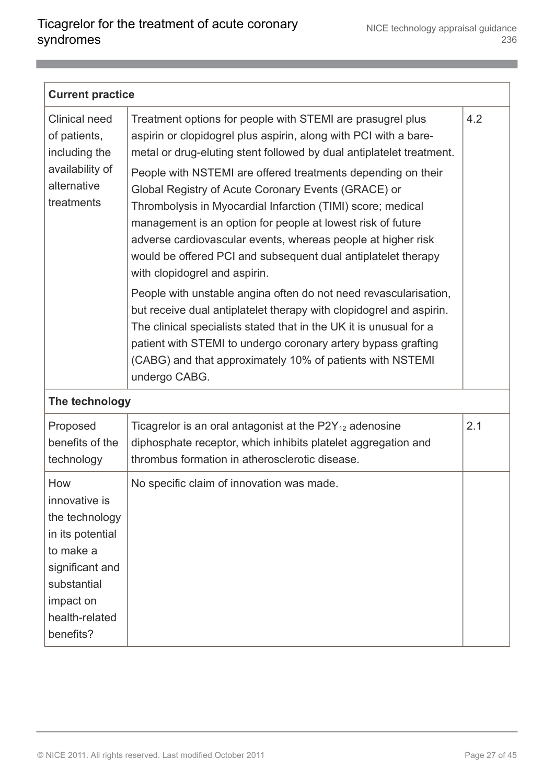| <b>Current practice</b>                                                                                                                               |                                                                                                                                                                                                                                                                                                                                                                                                                                                                                                                                                                                                                                                                                                                                                                                                                                                                                                                                                                                               |     |  |
|-------------------------------------------------------------------------------------------------------------------------------------------------------|-----------------------------------------------------------------------------------------------------------------------------------------------------------------------------------------------------------------------------------------------------------------------------------------------------------------------------------------------------------------------------------------------------------------------------------------------------------------------------------------------------------------------------------------------------------------------------------------------------------------------------------------------------------------------------------------------------------------------------------------------------------------------------------------------------------------------------------------------------------------------------------------------------------------------------------------------------------------------------------------------|-----|--|
| Clinical need<br>of patients,<br>including the<br>availability of<br>alternative<br>treatments                                                        | Treatment options for people with STEMI are prasugrel plus<br>aspirin or clopidogrel plus aspirin, along with PCI with a bare-<br>metal or drug-eluting stent followed by dual antiplatelet treatment.<br>People with NSTEMI are offered treatments depending on their<br>Global Registry of Acute Coronary Events (GRACE) or<br>Thrombolysis in Myocardial Infarction (TIMI) score; medical<br>management is an option for people at lowest risk of future<br>adverse cardiovascular events, whereas people at higher risk<br>would be offered PCI and subsequent dual antiplatelet therapy<br>with clopidogrel and aspirin.<br>People with unstable angina often do not need revascularisation,<br>but receive dual antiplatelet therapy with clopidogrel and aspirin.<br>The clinical specialists stated that in the UK it is unusual for a<br>patient with STEMI to undergo coronary artery bypass grafting<br>(CABG) and that approximately 10% of patients with NSTEMI<br>undergo CABG. | 4.2 |  |
| The technology                                                                                                                                        |                                                                                                                                                                                                                                                                                                                                                                                                                                                                                                                                                                                                                                                                                                                                                                                                                                                                                                                                                                                               |     |  |
| Proposed<br>benefits of the<br>technology                                                                                                             | Ticagrelor is an oral antagonist at the $P2Y_{12}$ adenosine<br>diphosphate receptor, which inhibits platelet aggregation and<br>thrombus formation in atherosclerotic disease.                                                                                                                                                                                                                                                                                                                                                                                                                                                                                                                                                                                                                                                                                                                                                                                                               | 2.1 |  |
| How<br>innovative is<br>the technology<br>in its potential<br>to make a<br>significant and<br>substantial<br>impact on<br>health-related<br>benefits? | No specific claim of innovation was made.                                                                                                                                                                                                                                                                                                                                                                                                                                                                                                                                                                                                                                                                                                                                                                                                                                                                                                                                                     |     |  |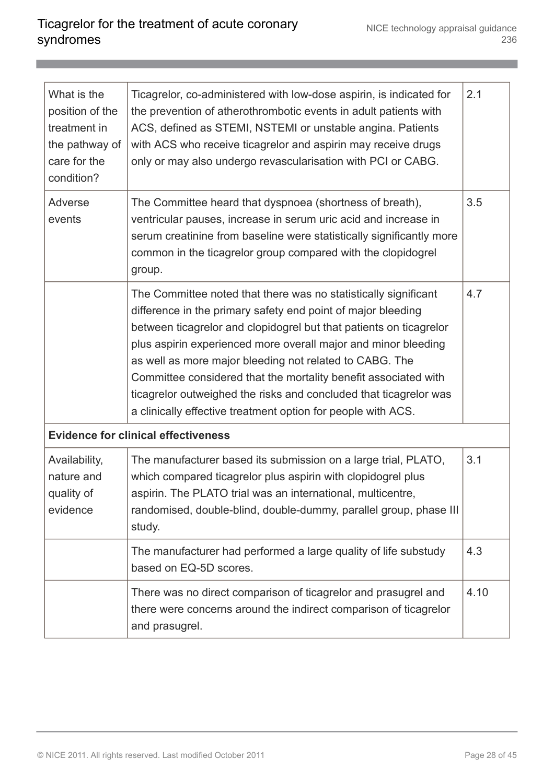| What is the<br>position of the<br>treatment in<br>the pathway of<br>care for the<br>condition? | Ticagrelor, co-administered with low-dose aspirin, is indicated for<br>the prevention of atherothrombotic events in adult patients with<br>ACS, defined as STEMI, NSTEMI or unstable angina. Patients<br>with ACS who receive ticagrelor and aspirin may receive drugs<br>only or may also undergo revascularisation with PCI or CABG.                                                                                                                                                                                                     | 2.1  |
|------------------------------------------------------------------------------------------------|--------------------------------------------------------------------------------------------------------------------------------------------------------------------------------------------------------------------------------------------------------------------------------------------------------------------------------------------------------------------------------------------------------------------------------------------------------------------------------------------------------------------------------------------|------|
| Adverse<br>events                                                                              | The Committee heard that dyspnoea (shortness of breath),<br>ventricular pauses, increase in serum uric acid and increase in<br>serum creatinine from baseline were statistically significantly more<br>common in the ticagrelor group compared with the clopidogrel<br>group.                                                                                                                                                                                                                                                              | 3.5  |
|                                                                                                | The Committee noted that there was no statistically significant<br>difference in the primary safety end point of major bleeding<br>between ticagrelor and clopidogrel but that patients on ticagrelor<br>plus aspirin experienced more overall major and minor bleeding<br>as well as more major bleeding not related to CABG. The<br>Committee considered that the mortality benefit associated with<br>ticagrelor outweighed the risks and concluded that ticagrelor was<br>a clinically effective treatment option for people with ACS. | 4.7  |
|                                                                                                | <b>Evidence for clinical effectiveness</b>                                                                                                                                                                                                                                                                                                                                                                                                                                                                                                 |      |
| Availability,<br>nature and<br>quality of<br>evidence                                          | The manufacturer based its submission on a large trial, PLATO,<br>which compared ticagrelor plus aspirin with clopidogrel plus<br>aspirin. The PLATO trial was an international, multicentre,<br>randomised, double-blind, double-dummy, parallel group, phase III<br>study.                                                                                                                                                                                                                                                               | 3.1  |
|                                                                                                | The manufacturer had performed a large quality of life substudy<br>based on EQ-5D scores.                                                                                                                                                                                                                                                                                                                                                                                                                                                  | 4.3  |
|                                                                                                | There was no direct comparison of ticagrelor and prasugrel and<br>there were concerns around the indirect comparison of ticagrelor<br>and prasugrel.                                                                                                                                                                                                                                                                                                                                                                                       | 4.10 |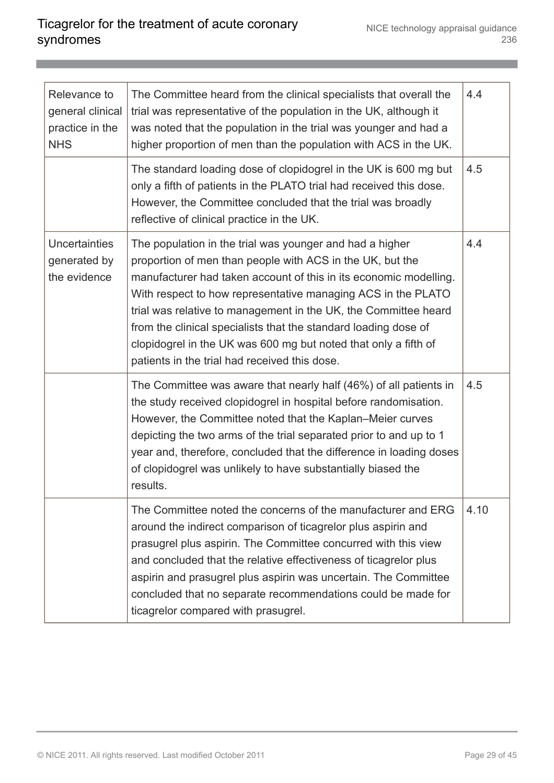| Relevance to<br>general clinical<br>practice in the<br><b>NHS</b> | The Committee heard from the clinical specialists that overall the<br>trial was representative of the population in the UK, although it<br>was noted that the population in the trial was younger and had a<br>higher proportion of men than the population with ACS in the UK.                                                                                                                                                                                                                                      | 4.4  |
|-------------------------------------------------------------------|----------------------------------------------------------------------------------------------------------------------------------------------------------------------------------------------------------------------------------------------------------------------------------------------------------------------------------------------------------------------------------------------------------------------------------------------------------------------------------------------------------------------|------|
|                                                                   | The standard loading dose of clopidogrel in the UK is 600 mg but<br>only a fifth of patients in the PLATO trial had received this dose.<br>However, the Committee concluded that the trial was broadly<br>reflective of clinical practice in the UK.                                                                                                                                                                                                                                                                 | 4.5  |
| <b>Uncertainties</b><br>generated by<br>the evidence              | The population in the trial was younger and had a higher<br>proportion of men than people with ACS in the UK, but the<br>manufacturer had taken account of this in its economic modelling.<br>With respect to how representative managing ACS in the PLATO<br>trial was relative to management in the UK, the Committee heard<br>from the clinical specialists that the standard loading dose of<br>clopidogrel in the UK was 600 mg but noted that only a fifth of<br>patients in the trial had received this dose. | 4.4  |
|                                                                   | The Committee was aware that nearly half (46%) of all patients in<br>the study received clopidogrel in hospital before randomisation.<br>However, the Committee noted that the Kaplan–Meier curves<br>depicting the two arms of the trial separated prior to and up to 1<br>year and, therefore, concluded that the difference in loading doses<br>of clopidogrel was unlikely to have substantially biased the<br>results.                                                                                          | 4.5  |
|                                                                   | The Committee noted the concerns of the manufacturer and ERG<br>around the indirect comparison of ticagrelor plus aspirin and<br>prasugrel plus aspirin. The Committee concurred with this view<br>and concluded that the relative effectiveness of ticagrelor plus<br>aspirin and prasugrel plus aspirin was uncertain. The Committee<br>concluded that no separate recommendations could be made for<br>ticagrelor compared with prasugrel.                                                                        | 4.10 |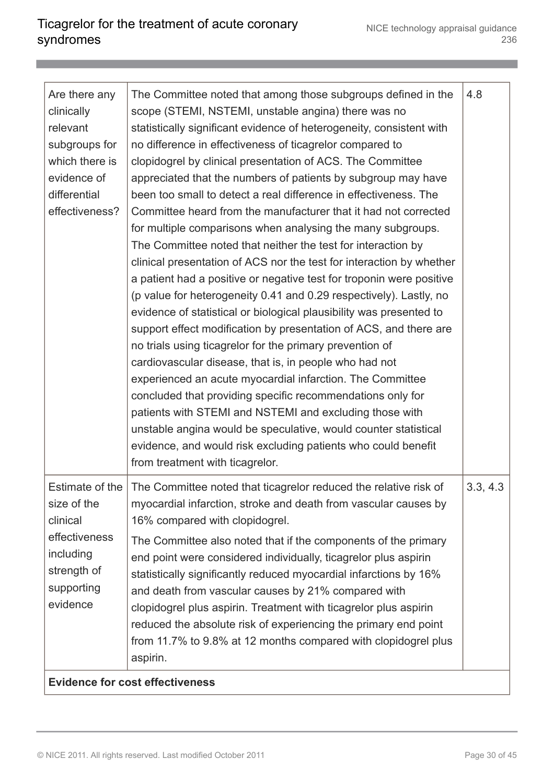| Are there any<br>clinically<br>relevant<br>subgroups for<br>which there is<br>evidence of<br>differential<br>effectiveness? | The Committee noted that among those subgroups defined in the<br>scope (STEMI, NSTEMI, unstable angina) there was no<br>statistically significant evidence of heterogeneity, consistent with<br>no difference in effectiveness of ticagrelor compared to<br>clopidogrel by clinical presentation of ACS. The Committee<br>appreciated that the numbers of patients by subgroup may have<br>been too small to detect a real difference in effectiveness. The<br>Committee heard from the manufacturer that it had not corrected<br>for multiple comparisons when analysing the many subgroups.<br>The Committee noted that neither the test for interaction by<br>clinical presentation of ACS nor the test for interaction by whether<br>a patient had a positive or negative test for troponin were positive<br>(p value for heterogeneity 0.41 and 0.29 respectively). Lastly, no<br>evidence of statistical or biological plausibility was presented to<br>support effect modification by presentation of ACS, and there are<br>no trials using ticagrelor for the primary prevention of<br>cardiovascular disease, that is, in people who had not<br>experienced an acute myocardial infarction. The Committee<br>concluded that providing specific recommendations only for<br>patients with STEMI and NSTEMI and excluding those with<br>unstable angina would be speculative, would counter statistical<br>evidence, and would risk excluding patients who could benefit<br>from treatment with ticagrelor. | 4.8      |
|-----------------------------------------------------------------------------------------------------------------------------|--------------------------------------------------------------------------------------------------------------------------------------------------------------------------------------------------------------------------------------------------------------------------------------------------------------------------------------------------------------------------------------------------------------------------------------------------------------------------------------------------------------------------------------------------------------------------------------------------------------------------------------------------------------------------------------------------------------------------------------------------------------------------------------------------------------------------------------------------------------------------------------------------------------------------------------------------------------------------------------------------------------------------------------------------------------------------------------------------------------------------------------------------------------------------------------------------------------------------------------------------------------------------------------------------------------------------------------------------------------------------------------------------------------------------------------------------------------------------------------------------------------------|----------|
| Estimate of the<br>size of the<br>clinical<br>effectiveness<br>including<br>strength of<br>supporting<br>evidence           | The Committee noted that ticagrelor reduced the relative risk of<br>myocardial infarction, stroke and death from vascular causes by<br>16% compared with clopidogrel.<br>The Committee also noted that if the components of the primary<br>end point were considered individually, ticagrelor plus aspirin<br>statistically significantly reduced myocardial infarctions by 16%<br>and death from vascular causes by 21% compared with<br>clopidogrel plus aspirin. Treatment with ticagrelor plus aspirin<br>reduced the absolute risk of experiencing the primary end point<br>from 11.7% to 9.8% at 12 months compared with clopidogrel plus<br>aspirin.<br><b>Evidence for cost effectiveness</b>                                                                                                                                                                                                                                                                                                                                                                                                                                                                                                                                                                                                                                                                                                                                                                                                              | 3.3, 4.3 |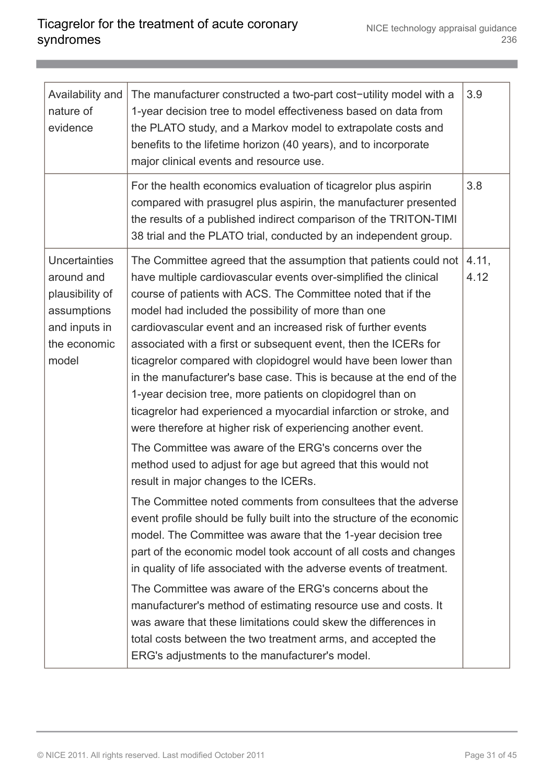| Availability and<br>nature of<br>evidence                                                                      | The manufacturer constructed a two-part cost-utility model with a<br>1-year decision tree to model effectiveness based on data from<br>the PLATO study, and a Markov model to extrapolate costs and<br>benefits to the lifetime horizon (40 years), and to incorporate<br>major clinical events and resource use.                                                                                                                                                                                                                                                                                                                                                                                                                                                                                                                                                                                                                                                              | 3.9           |
|----------------------------------------------------------------------------------------------------------------|--------------------------------------------------------------------------------------------------------------------------------------------------------------------------------------------------------------------------------------------------------------------------------------------------------------------------------------------------------------------------------------------------------------------------------------------------------------------------------------------------------------------------------------------------------------------------------------------------------------------------------------------------------------------------------------------------------------------------------------------------------------------------------------------------------------------------------------------------------------------------------------------------------------------------------------------------------------------------------|---------------|
|                                                                                                                | For the health economics evaluation of ticagrelor plus aspirin<br>compared with prasugrel plus aspirin, the manufacturer presented<br>the results of a published indirect comparison of the TRITON-TIMI<br>38 trial and the PLATO trial, conducted by an independent group.                                                                                                                                                                                                                                                                                                                                                                                                                                                                                                                                                                                                                                                                                                    | 3.8           |
| <b>Uncertainties</b><br>around and<br>plausibility of<br>assumptions<br>and inputs in<br>the economic<br>model | The Committee agreed that the assumption that patients could not<br>have multiple cardiovascular events over-simplified the clinical<br>course of patients with ACS. The Committee noted that if the<br>model had included the possibility of more than one<br>cardiovascular event and an increased risk of further events<br>associated with a first or subsequent event, then the ICERs for<br>ticagrelor compared with clopidogrel would have been lower than<br>in the manufacturer's base case. This is because at the end of the<br>1-year decision tree, more patients on clopidogrel than on<br>ticagrelor had experienced a myocardial infarction or stroke, and<br>were therefore at higher risk of experiencing another event.<br>The Committee was aware of the ERG's concerns over the<br>method used to adjust for age but agreed that this would not<br>result in major changes to the ICERs.<br>The Committee noted comments from consultees that the adverse | 4.11,<br>4.12 |
|                                                                                                                | event profile should be fully built into the structure of the economic<br>model. The Committee was aware that the 1-year decision tree<br>part of the economic model took account of all costs and changes<br>in quality of life associated with the adverse events of treatment.<br>The Committee was aware of the ERG's concerns about the<br>manufacturer's method of estimating resource use and costs. It<br>was aware that these limitations could skew the differences in<br>total costs between the two treatment arms, and accepted the<br>ERG's adjustments to the manufacturer's model.                                                                                                                                                                                                                                                                                                                                                                             |               |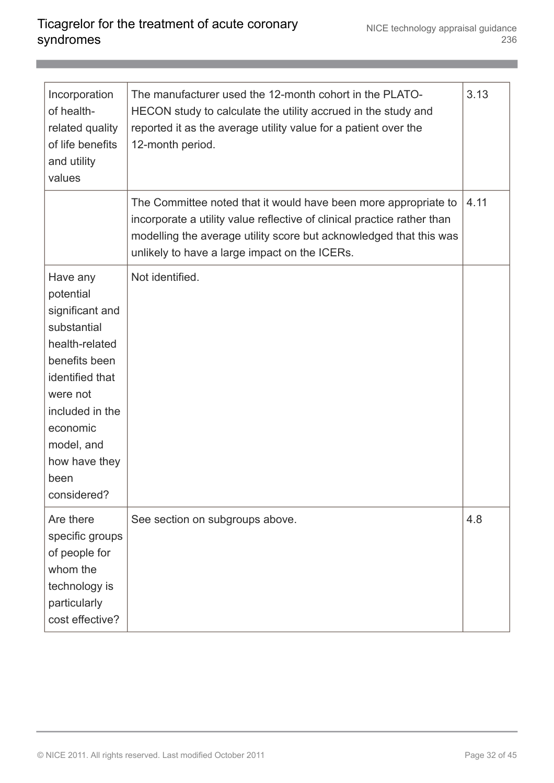| Incorporation<br>of health-<br>related quality<br>of life benefits<br>and utility<br>values                                                                                                                    | The manufacturer used the 12-month cohort in the PLATO-<br>HECON study to calculate the utility accrued in the study and<br>reported it as the average utility value for a patient over the<br>12-month period.                                                   | 3.13 |
|----------------------------------------------------------------------------------------------------------------------------------------------------------------------------------------------------------------|-------------------------------------------------------------------------------------------------------------------------------------------------------------------------------------------------------------------------------------------------------------------|------|
|                                                                                                                                                                                                                | The Committee noted that it would have been more appropriate to<br>incorporate a utility value reflective of clinical practice rather than<br>modelling the average utility score but acknowledged that this was<br>unlikely to have a large impact on the ICERs. | 4.11 |
| Have any<br>potential<br>significant and<br>substantial<br>health-related<br>benefits been<br>identified that<br>were not<br>included in the<br>economic<br>model, and<br>how have they<br>been<br>considered? | Not identified.                                                                                                                                                                                                                                                   |      |
| Are there<br>specific groups<br>of people for<br>whom the<br>technology is<br>particularly<br>cost effective?                                                                                                  | See section on subgroups above.                                                                                                                                                                                                                                   | 4.8  |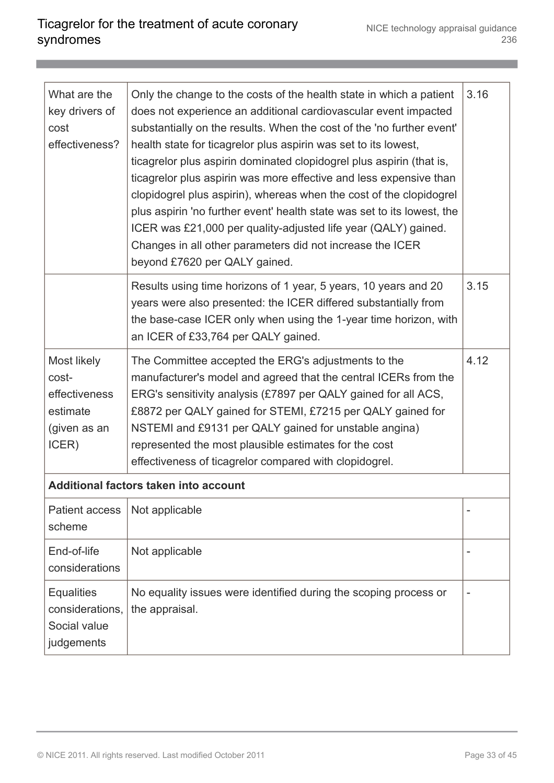| What are the<br>key drivers of<br>cost<br>effectiveness?                   | Only the change to the costs of the health state in which a patient<br>does not experience an additional cardiovascular event impacted<br>substantially on the results. When the cost of the 'no further event'<br>health state for ticagrelor plus aspirin was set to its lowest,<br>ticagrelor plus aspirin dominated clopidogrel plus aspirin (that is,<br>ticagrelor plus aspirin was more effective and less expensive than<br>clopidogrel plus aspirin), whereas when the cost of the clopidogrel<br>plus aspirin 'no further event' health state was set to its lowest, the<br>ICER was £21,000 per quality-adjusted life year (QALY) gained.<br>Changes in all other parameters did not increase the ICER<br>beyond £7620 per QALY gained. | 3.16 |
|----------------------------------------------------------------------------|----------------------------------------------------------------------------------------------------------------------------------------------------------------------------------------------------------------------------------------------------------------------------------------------------------------------------------------------------------------------------------------------------------------------------------------------------------------------------------------------------------------------------------------------------------------------------------------------------------------------------------------------------------------------------------------------------------------------------------------------------|------|
|                                                                            | Results using time horizons of 1 year, 5 years, 10 years and 20<br>years were also presented: the ICER differed substantially from<br>the base-case ICER only when using the 1-year time horizon, with<br>an ICER of £33,764 per QALY gained.                                                                                                                                                                                                                                                                                                                                                                                                                                                                                                      | 3.15 |
| Most likely<br>cost-<br>effectiveness<br>estimate<br>(given as an<br>ICER) | The Committee accepted the ERG's adjustments to the<br>manufacturer's model and agreed that the central ICERs from the<br>ERG's sensitivity analysis (£7897 per QALY gained for all ACS,<br>£8872 per QALY gained for STEMI, £7215 per QALY gained for<br>NSTEMI and £9131 per QALY gained for unstable angina)<br>represented the most plausible estimates for the cost<br>effectiveness of ticagrelor compared with clopidogrel.                                                                                                                                                                                                                                                                                                                 | 4.12 |
| Additional factors taken into account                                      |                                                                                                                                                                                                                                                                                                                                                                                                                                                                                                                                                                                                                                                                                                                                                    |      |
| <b>Patient access</b><br>scheme                                            | Not applicable                                                                                                                                                                                                                                                                                                                                                                                                                                                                                                                                                                                                                                                                                                                                     |      |
| End-of-life<br>considerations                                              | Not applicable                                                                                                                                                                                                                                                                                                                                                                                                                                                                                                                                                                                                                                                                                                                                     |      |
| <b>Equalities</b><br>considerations,<br>Social value<br>judgements         | No equality issues were identified during the scoping process or<br>the appraisal.                                                                                                                                                                                                                                                                                                                                                                                                                                                                                                                                                                                                                                                                 |      |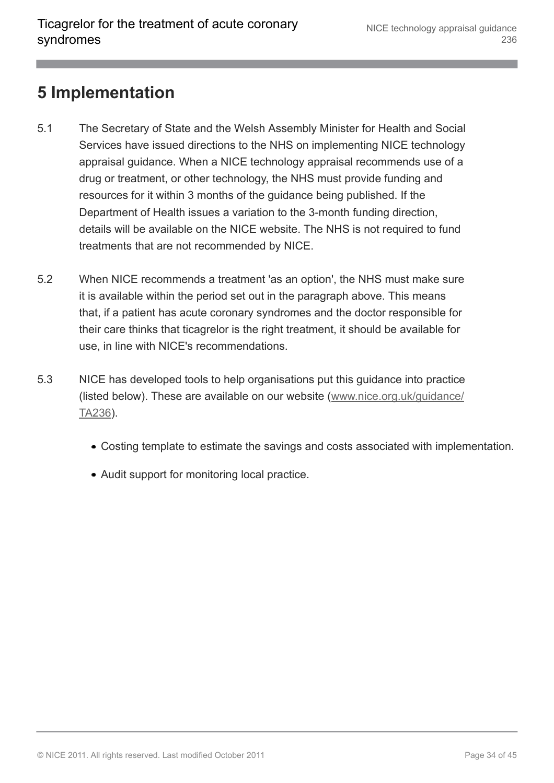#### <span id="page-33-0"></span>**5 Implementation**

- 5.1 The Secretary of State and the Welsh Assembly Minister for Health and Social Services have issued directions to the NHS on implementing NICE technology appraisal guidance. When a NICE technology appraisal recommends use of a drug or treatment, or other technology, the NHS must provide funding and resources for it within 3 months of the guidance being published. If the Department of Health issues a variation to the 3-month funding direction, details will be available on the NICE website. The NHS is not required to fund treatments that are not recommended by NICE.
- 5.2 When NICE recommends a treatment 'as an option', the NHS must make sure it is available within the period set out in the paragraph above. This means that, if a patient has acute coronary syndromes and the doctor responsible for their care thinks that ticagrelor is the right treatment, it should be available for use, in line with NICE's recommendations.
- 5.3 NICE has developed tools to help organisations put this guidance into practice (listed below). These are available on our website ([www.nice.org.uk/guidance/](http://www.nice.org.uk/guidance/TA236) [TA236](http://www.nice.org.uk/guidance/TA236)).
	- Costing template to estimate the savings and costs associated with implementation.
	- Audit support for monitoring local practice.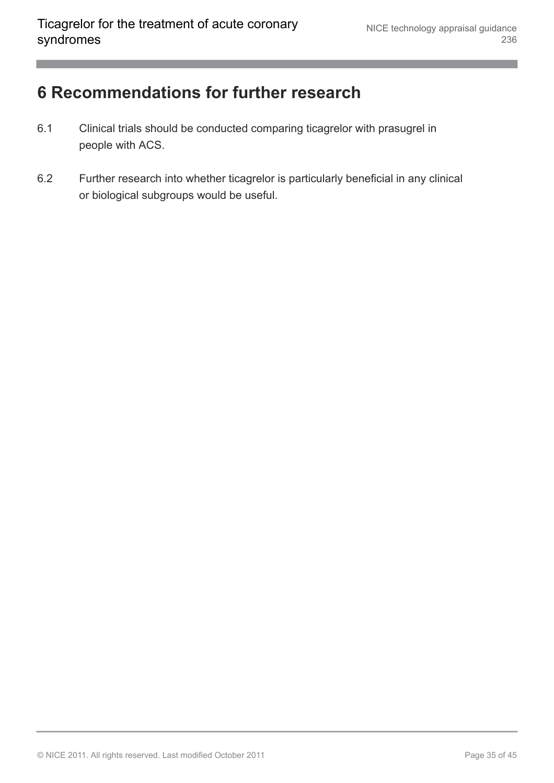#### <span id="page-34-0"></span>**6 Recommendations for further research**

- 6.1 Clinical trials should be conducted comparing ticagrelor with prasugrel in people with ACS.
- 6.2 Further research into whether ticagrelor is particularly beneficial in any clinical or biological subgroups would be useful.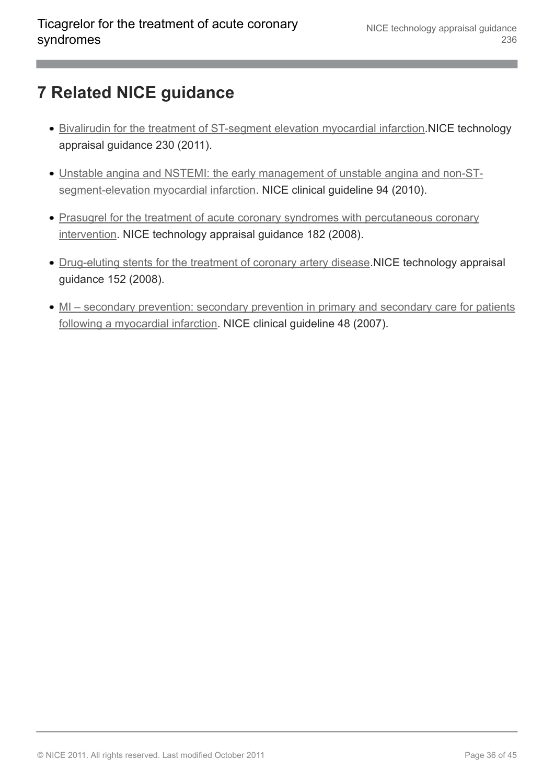### <span id="page-35-0"></span>**7 Related NICE guidance**

- [Bivalirudin for the treatment of ST-segment elevation myocardial infarction](http://www.nice.org.uk/guidance/TA230).NICE technology appraisal guidance 230 (2011).
- [Unstable angina and NSTEMI: the early management of unstable angina and non-ST](http://www.nice.org.uk/guidance/CG94)[segment-elevation myocardial infarction.](http://www.nice.org.uk/guidance/CG94) NICE clinical guideline 94 (2010).
- [Prasugrel for the treatment of acute coronary syndromes with percutaneous coronary](http://www.nice.org.uk/guidance/TA182) [intervention](http://www.nice.org.uk/guidance/TA182). NICE technology appraisal guidance 182 (2008).
- [Drug-eluting stents for the treatment of coronary artery disease](http://www.nice.org.uk/guidance/TA152). NICE technology appraisal guidance 152 (2008).
- [MI secondary prevention: secondary prevention in primary and secondary care for patients](http://www.nice.org.uk/guidance/CG48) [following a myocardial infarction](http://www.nice.org.uk/guidance/CG48). NICE clinical guideline 48 (2007).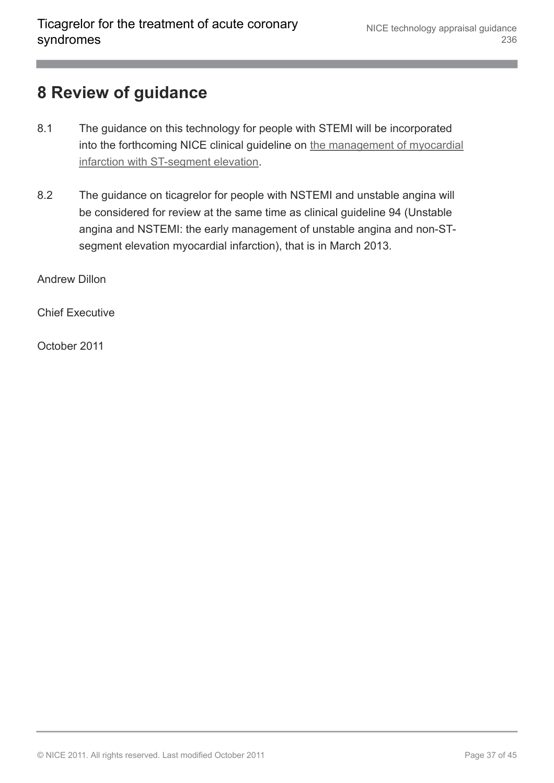### <span id="page-36-0"></span>**8 Review of guidance**

- 8.1 The guidance on this technology for people with STEMI will be incorporated into the forthcoming NICE clinical guideline on [the management of myocardial](http://www.nice.org.uk/guidance/CG/Wave25/8) [infarction with ST-segment elevation.](http://www.nice.org.uk/guidance/CG/Wave25/8)
- 8.2 The guidance on ticagrelor for people with NSTEMI and unstable angina will be considered for review at the same time as clinical guideline 94 (Unstable angina and NSTEMI: the early management of unstable angina and non-STsegment elevation myocardial infarction), that is in March 2013.

Andrew Dillon

Chief Executive

October 2011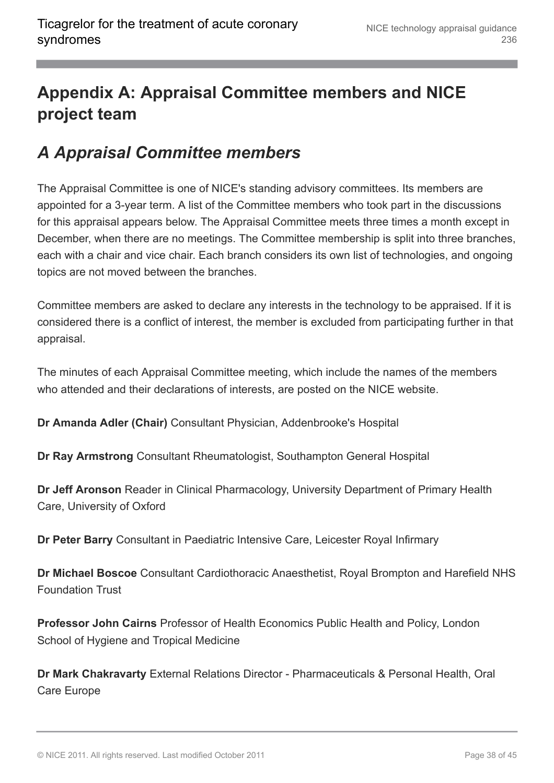# <span id="page-37-0"></span>**Appendix A: Appraisal Committee members and NICE project team**

#### <span id="page-37-1"></span>*A Appraisal Committee members*

The Appraisal Committee is one of NICE's standing advisory committees. Its members are appointed for a 3-year term. A list of the Committee members who took part in the discussions for this appraisal appears below. The Appraisal Committee meets three times a month except in December, when there are no meetings. The Committee membership is split into three branches, each with a chair and vice chair. Each branch considers its own list of technologies, and ongoing topics are not moved between the branches.

Committee members are asked to declare any interests in the technology to be appraised. If it is considered there is a conflict of interest, the member is excluded from participating further in that appraisal.

The minutes of each Appraisal Committee meeting, which include the names of the members who attended and their declarations of interests, are posted on the NICE website.

**Dr Amanda Adler (Chair)** Consultant Physician, Addenbrooke's Hospital

**Dr Ray Armstrong** Consultant Rheumatologist, Southampton General Hospital

**Dr Jeff Aronson** Reader in Clinical Pharmacology, University Department of Primary Health Care, University of Oxford

**Dr Peter Barry** Consultant in Paediatric Intensive Care, Leicester Royal Infirmary

**Dr Michael Boscoe** Consultant Cardiothoracic Anaesthetist, Royal Brompton and Harefield NHS Foundation Trust

**Professor John Cairns** Professor of Health Economics Public Health and Policy, London School of Hygiene and Tropical Medicine

**Dr Mark Chakravarty** External Relations Director - Pharmaceuticals & Personal Health, Oral Care Europe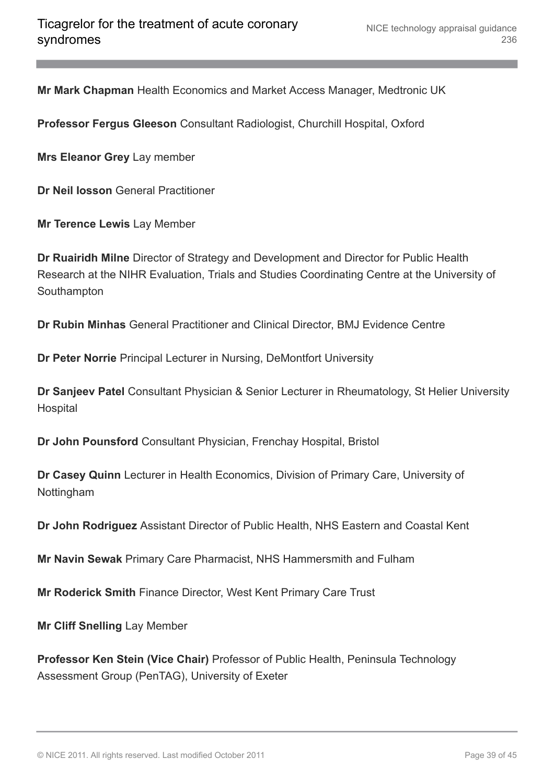**Mr Mark Chapman** Health Economics and Market Access Manager, Medtronic UK

**Professor Fergus Gleeson** Consultant Radiologist, Churchill Hospital, Oxford

**Mrs Eleanor Grey** Lay member

**Dr Neil Iosson** General Practitioner

**Mr Terence Lewis** Lay Member

**Dr Ruairidh Milne** Director of Strategy and Development and Director for Public Health Research at the NIHR Evaluation, Trials and Studies Coordinating Centre at the University of **Southampton** 

**Dr Rubin Minhas** General Practitioner and Clinical Director, BMJ Evidence Centre

**Dr Peter Norrie** Principal Lecturer in Nursing, DeMontfort University

**Dr Sanjeev Patel** Consultant Physician & Senior Lecturer in Rheumatology, St Helier University **Hospital** 

**Dr John Pounsford** Consultant Physician, Frenchay Hospital, Bristol

**Dr Casey Quinn** Lecturer in Health Economics, Division of Primary Care, University of Nottingham

**Dr John Rodriguez** Assistant Director of Public Health, NHS Eastern and Coastal Kent

**Mr Navin Sewak** Primary Care Pharmacist, NHS Hammersmith and Fulham

**Mr Roderick Smith** Finance Director, West Kent Primary Care Trust

**Mr Cliff Snelling** Lay Member

**Professor Ken Stein (Vice Chair)** Professor of Public Health, Peninsula Technology Assessment Group (PenTAG), University of Exeter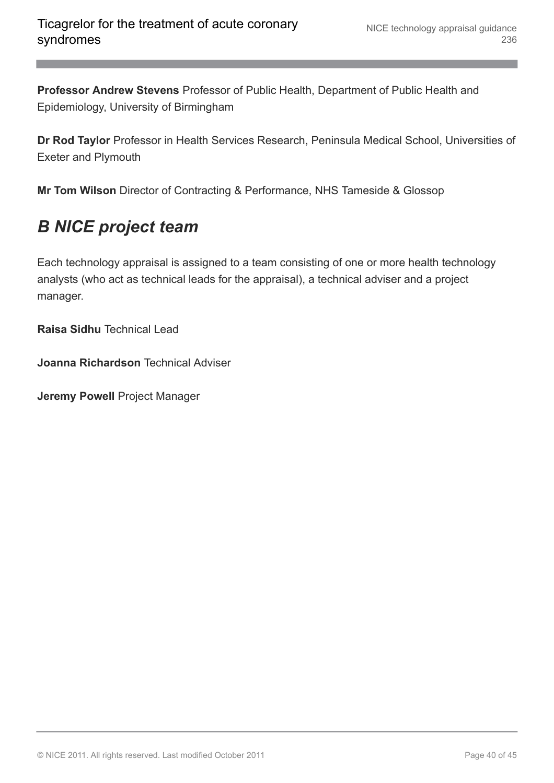**Professor Andrew Stevens** Professor of Public Health, Department of Public Health and Epidemiology, University of Birmingham

**Dr Rod Taylor** Professor in Health Services Research, Peninsula Medical School, Universities of Exeter and Plymouth

**Mr Tom Wilson** Director of Contracting & Performance, NHS Tameside & Glossop

### <span id="page-39-0"></span>*B NICE project team*

Each technology appraisal is assigned to a team consisting of one or more health technology analysts (who act as technical leads for the appraisal), a technical adviser and a project manager.

**Raisa Sidhu** Technical Lead

**Joanna Richardson** Technical Adviser

**Jeremy Powell** Project Manager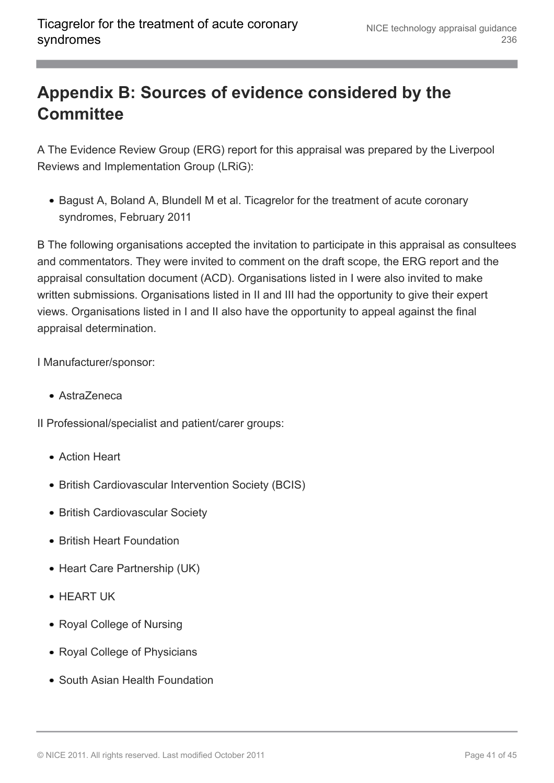# <span id="page-40-0"></span>**Appendix B: Sources of evidence considered by the Committee**

A The Evidence Review Group (ERG) report for this appraisal was prepared by the Liverpool Reviews and Implementation Group (LRiG):

• Bagust A, Boland A, Blundell M et al. Ticagrelor for the treatment of acute coronary syndromes, February 2011

B The following organisations accepted the invitation to participate in this appraisal as consultees and commentators. They were invited to comment on the draft scope, the ERG report and the appraisal consultation document (ACD). Organisations listed in I were also invited to make written submissions. Organisations listed in II and III had the opportunity to give their expert views. Organisations listed in I and II also have the opportunity to appeal against the final appraisal determination.

I Manufacturer/sponsor:

AstraZeneca

II Professional/specialist and patient/carer groups:

- Action Heart
- British Cardiovascular Intervention Society (BCIS)
- British Cardiovascular Society
- British Heart Foundation
- Heart Care Partnership (UK)
- HEART UK
- Royal College of Nursing
- Royal College of Physicians
- South Asian Health Foundation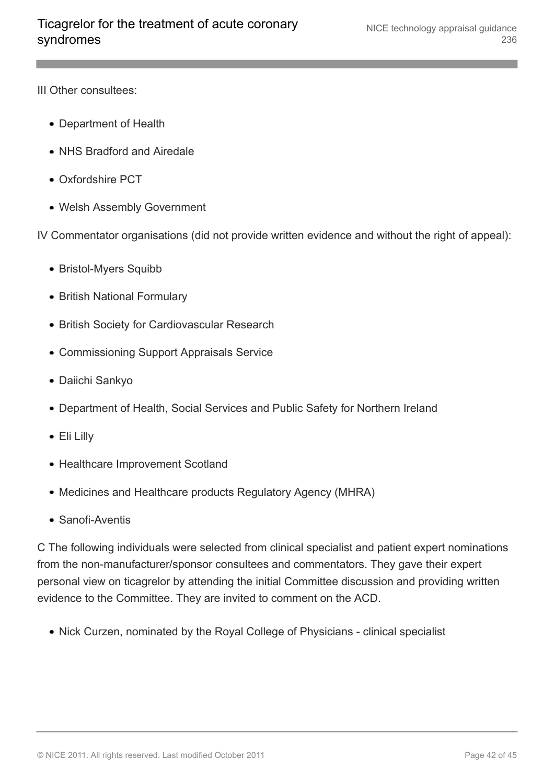III Other consultees:

- Department of Health
- NHS Bradford and Airedale
- Oxfordshire PCT
- Welsh Assembly Government

IV Commentator organisations (did not provide written evidence and without the right of appeal):

- Bristol-Myers Squibb
- British National Formulary
- British Society for Cardiovascular Research
- Commissioning Support Appraisals Service
- Daiichi Sankyo
- Department of Health, Social Services and Public Safety for Northern Ireland
- Eli Lilly
- Healthcare Improvement Scotland
- Medicines and Healthcare products Regulatory Agency (MHRA)
- Sanofi-Aventis

C The following individuals were selected from clinical specialist and patient expert nominations from the non-manufacturer/sponsor consultees and commentators. They gave their expert personal view on ticagrelor by attending the initial Committee discussion and providing written evidence to the Committee. They are invited to comment on the ACD.

• Nick Curzen, nominated by the Royal College of Physicians - clinical specialist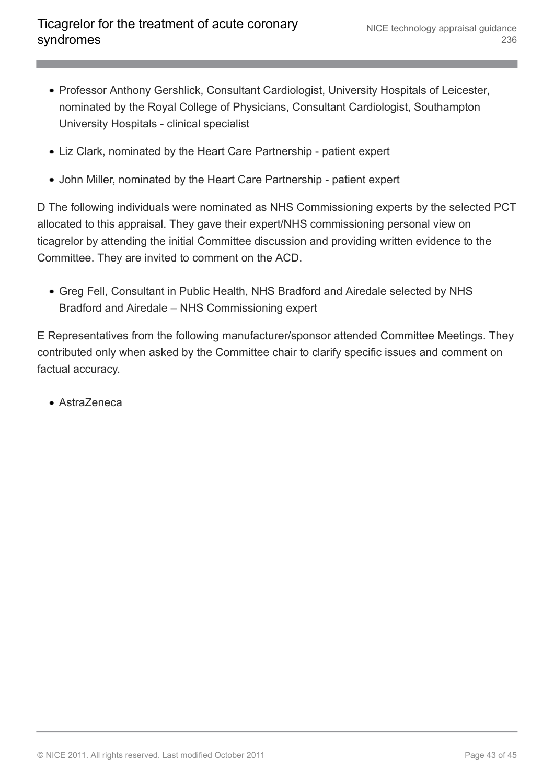- Professor Anthony Gershlick, Consultant Cardiologist, University Hospitals of Leicester, nominated by the Royal College of Physicians, Consultant Cardiologist, Southampton University Hospitals - clinical specialist
- Liz Clark, nominated by the Heart Care Partnership patient expert
- John Miller, nominated by the Heart Care Partnership patient expert

D The following individuals were nominated as NHS Commissioning experts by the selected PCT allocated to this appraisal. They gave their expert/NHS commissioning personal view on ticagrelor by attending the initial Committee discussion and providing written evidence to the Committee. They are invited to comment on the ACD.

Greg Fell, Consultant in Public Health, NHS Bradford and Airedale selected by NHS Bradford and Airedale – NHS Commissioning expert

E Representatives from the following manufacturer/sponsor attended Committee Meetings. They contributed only when asked by the Committee chair to clarify specific issues and comment on factual accuracy.

AstraZeneca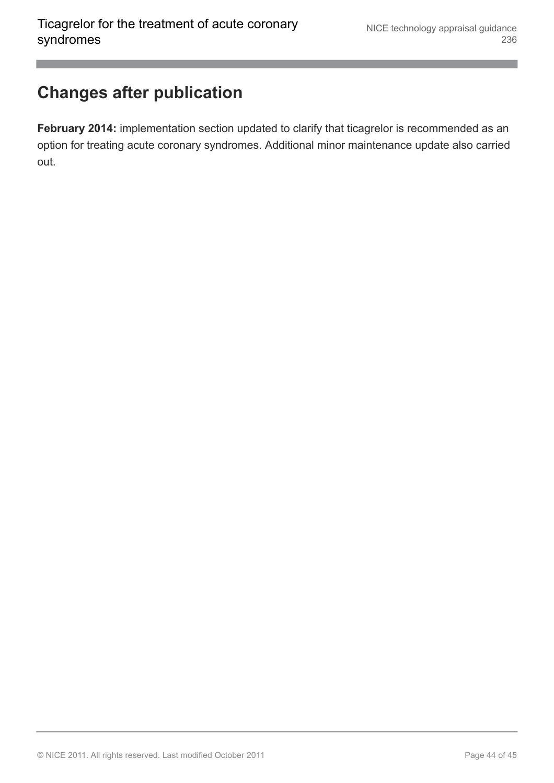### <span id="page-43-0"></span>**Changes after publication**

**February 2014:** implementation section updated to clarify that ticagrelor is recommended as an option for treating acute coronary syndromes. Additional minor maintenance update also carried out.